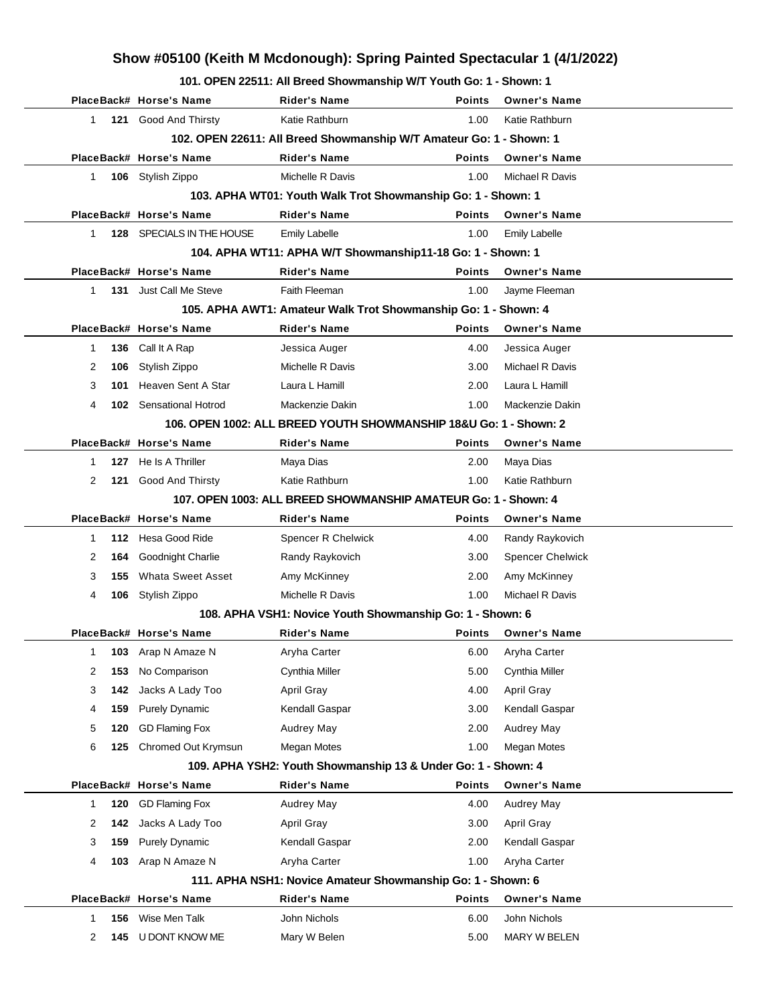## **Show #05100 (Keith M Mcdonough): Spring Painted Spectacular 1 (4/1/2022)**

**101. OPEN 22511: All Breed Showmanship W/T Youth Go: 1 - Shown: 1**

|              |     | PlaceBack# Horse's Name       | Rider's Name                                                        | <b>Points</b> | <b>Owner's Name</b>     |
|--------------|-----|-------------------------------|---------------------------------------------------------------------|---------------|-------------------------|
| $\mathbf{1}$ |     | 121 Good And Thirsty          | Katie Rathburn                                                      | 1.00          | Katie Rathburn          |
|              |     |                               | 102. OPEN 22611: All Breed Showmanship W/T Amateur Go: 1 - Shown: 1 |               |                         |
|              |     | PlaceBack# Horse's Name       | <b>Rider's Name</b>                                                 | <b>Points</b> | <b>Owner's Name</b>     |
| 1            |     | 106 Stylish Zippo             | Michelle R Davis                                                    | 1.00          | Michael R Davis         |
|              |     |                               | 103. APHA WT01: Youth Walk Trot Showmanship Go: 1 - Shown: 1        |               |                         |
|              |     | PlaceBack# Horse's Name       | <b>Rider's Name</b>                                                 | <b>Points</b> | <b>Owner's Name</b>     |
| $\mathbf{1}$ |     | 128 SPECIALS IN THE HOUSE     | <b>Emily Labelle</b>                                                | 1.00          | <b>Emily Labelle</b>    |
|              |     |                               | 104. APHA WT11: APHA W/T Showmanship11-18 Go: 1 - Shown: 1          |               |                         |
|              |     | PlaceBack# Horse's Name       | <b>Rider's Name</b>                                                 | <b>Points</b> | <b>Owner's Name</b>     |
| $\mathbf{1}$ |     | <b>131</b> Just Call Me Steve | Faith Fleeman                                                       | 1.00          | Jayme Fleeman           |
|              |     |                               | 105. APHA AWT1: Amateur Walk Trot Showmanship Go: 1 - Shown: 4      |               |                         |
|              |     | PlaceBack# Horse's Name       | <b>Rider's Name</b>                                                 | <b>Points</b> | <b>Owner's Name</b>     |
| 1            | 136 | Call It A Rap                 | Jessica Auger                                                       | 4.00          | Jessica Auger           |
| 2            | 106 | Stylish Zippo                 | Michelle R Davis                                                    | 3.00          | Michael R Davis         |
| 3            | 101 | Heaven Sent A Star            | Laura L Hamill                                                      | 2.00          | Laura L Hamill          |
| 4            |     | 102 Sensational Hotrod        | Mackenzie Dakin                                                     | 1.00          | Mackenzie Dakin         |
|              |     |                               | 106. OPEN 1002: ALL BREED YOUTH SHOWMANSHIP 18&U Go: 1 - Shown: 2   |               |                         |
|              |     | PlaceBack# Horse's Name       | <b>Rider's Name</b>                                                 | <b>Points</b> | <b>Owner's Name</b>     |
| $\mathbf 1$  | 127 | He Is A Thriller              | Maya Dias                                                           | 2.00          | Maya Dias               |
| 2            |     | 121 Good And Thirsty          | Katie Rathburn                                                      | 1.00          | Katie Rathburn          |
|              |     |                               | 107. OPEN 1003: ALL BREED SHOWMANSHIP AMATEUR Go: 1 - Shown: 4      |               |                         |
|              |     | PlaceBack# Horse's Name       | <b>Rider's Name</b>                                                 | <b>Points</b> | <b>Owner's Name</b>     |
| 1            |     | 112 Hesa Good Ride            | Spencer R Chelwick                                                  | 4.00          | Randy Raykovich         |
| 2            | 164 | Goodnight Charlie             | Randy Raykovich                                                     | 3.00          | <b>Spencer Chelwick</b> |
| 3            | 155 | <b>Whata Sweet Asset</b>      | Amy McKinney                                                        | 2.00          | Amy McKinney            |
| 4            | 106 | Stylish Zippo                 | Michelle R Davis                                                    | 1.00          | Michael R Davis         |
|              |     |                               | 108. APHA VSH1: Novice Youth Showmanship Go: 1 - Shown: 6           |               |                         |
|              |     | PlaceBack# Horse's Name       | <b>Rider's Name</b>                                                 | <b>Points</b> | <b>Owner's Name</b>     |
| 1            |     | <b>103</b> Arap N Amaze N     | Aryha Carter                                                        | 6.00          | Aryha Carter            |
| 2            | 153 | No Comparison                 | Cynthia Miller                                                      | 5.00          | Cynthia Miller          |
| 3            | 142 | Jacks A Lady Too              | April Gray                                                          | 4.00          | <b>April Gray</b>       |
| 4            | 159 | <b>Purely Dynamic</b>         | Kendall Gaspar                                                      | 3.00          | Kendall Gaspar          |
| 5            | 120 | <b>GD Flaming Fox</b>         | Audrey May                                                          | 2.00          | Audrey May              |
| 6            | 125 | Chromed Out Krymsun           | <b>Megan Motes</b>                                                  | 1.00          | Megan Motes             |
|              |     |                               | 109. APHA YSH2: Youth Showmanship 13 & Under Go: 1 - Shown: 4       |               |                         |
|              |     | PlaceBack# Horse's Name       | <b>Rider's Name</b>                                                 | <b>Points</b> | <b>Owner's Name</b>     |
| 1            | 120 | <b>GD Flaming Fox</b>         | Audrey May                                                          | 4.00          | Audrey May              |
| 2            | 142 | Jacks A Lady Too              | <b>April Gray</b>                                                   | 3.00          | April Gray              |
| 3            | 159 | <b>Purely Dynamic</b>         | Kendall Gaspar                                                      | 2.00          | Kendall Gaspar          |
| 4            | 103 | Arap N Amaze N                | Aryha Carter                                                        | 1.00          | Aryha Carter            |
|              |     |                               | 111. APHA NSH1: Novice Amateur Showmanship Go: 1 - Shown: 6         |               |                         |
|              |     | PlaceBack# Horse's Name       | <b>Rider's Name</b>                                                 | <b>Points</b> | <b>Owner's Name</b>     |
| 1            | 156 | Wise Men Talk                 | John Nichols                                                        | 6.00          | John Nichols            |
| 2            | 145 | U DONT KNOW ME                | Mary W Belen                                                        | 5.00          | MARY W BELEN            |
|              |     |                               |                                                                     |               |                         |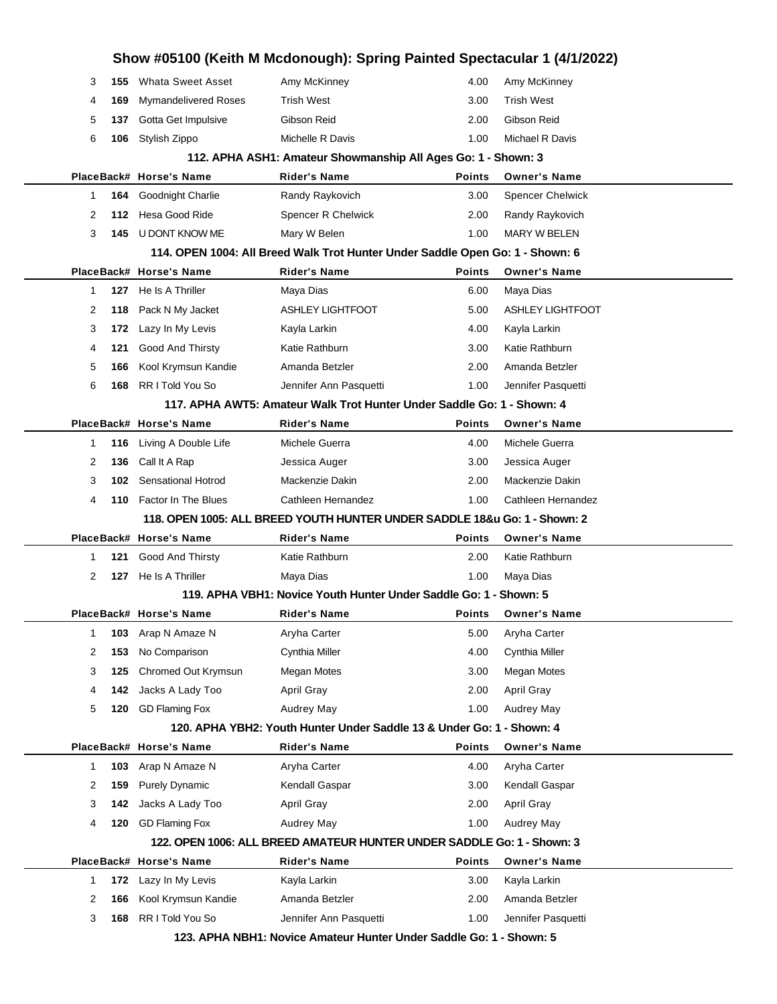| 1<br>2<br>3  | 172<br>166<br>168 | Kool Krymsun Kandie<br>RR I Told You So     | Amanda Betzler<br>Jennifer Ann Pasquetti                                                      | 2.00<br>1.00          | Amanda Betzler<br>Jennifer Pasquetti  |  |
|--------------|-------------------|---------------------------------------------|-----------------------------------------------------------------------------------------------|-----------------------|---------------------------------------|--|
|              |                   |                                             |                                                                                               |                       |                                       |  |
|              |                   |                                             |                                                                                               | 3.00                  |                                       |  |
|              |                   | PlaceBack# Horse's Name<br>Lazy In My Levis | <b>Rider's Name</b><br>Kayla Larkin                                                           | <b>Points</b>         | <b>Owner's Name</b><br>Kayla Larkin   |  |
|              |                   |                                             | 122. OPEN 1006: ALL BREED AMATEUR HUNTER UNDER SADDLE Go: 1 - Shown: 3                        |                       |                                       |  |
| 4            | 120               | <b>GD Flaming Fox</b>                       | Audrey May                                                                                    | 1.00                  | <b>Audrey May</b>                     |  |
| 3            | 142               | Jacks A Lady Too                            | April Gray                                                                                    | 2.00                  | April Gray                            |  |
| 2            | 159               | <b>Purely Dynamic</b>                       | Kendall Gaspar                                                                                | 3.00                  | Kendall Gaspar                        |  |
| $\mathbf{1}$ | 103               | Arap N Amaze N                              | Aryha Carter                                                                                  | 4.00                  | Aryha Carter                          |  |
|              |                   | PlaceBack# Horse's Name                     | <b>Rider's Name</b>                                                                           | <b>Points</b>         | <b>Owner's Name</b>                   |  |
|              |                   |                                             | 120. APHA YBH2: Youth Hunter Under Saddle 13 & Under Go: 1 - Shown: 4                         |                       |                                       |  |
| 5            | 120               | <b>GD Flaming Fox</b>                       | Audrey May                                                                                    | 1.00                  | Audrey May                            |  |
| 4            | 142               | Jacks A Lady Too                            | April Gray                                                                                    | 2.00                  | <b>April Gray</b>                     |  |
| 3            | 125               | Chromed Out Krymsun                         | Megan Motes                                                                                   | 3.00                  | Megan Motes                           |  |
| 2            | 153               | No Comparison                               | Cynthia Miller                                                                                | 4.00                  | Cynthia Miller                        |  |
| 1            | 103               | Arap N Amaze N                              | Aryha Carter                                                                                  | 5.00                  | Aryha Carter                          |  |
|              |                   |                                             |                                                                                               |                       |                                       |  |
|              |                   | PlaceBack# Horse's Name                     | <b>Rider's Name</b>                                                                           | <b>Points</b>         | <b>Owner's Name</b>                   |  |
|              |                   |                                             | Maya Dias<br>119. APHA VBH1: Novice Youth Hunter Under Saddle Go: 1 - Shown: 5                |                       |                                       |  |
| 2            | 127               | He Is A Thriller                            |                                                                                               | 1.00                  | Maya Dias                             |  |
| 1            | 121               | <b>Good And Thirsty</b>                     | Katie Rathburn                                                                                | 2.00                  | Katie Rathburn                        |  |
|              |                   | PlaceBack# Horse's Name                     | <b>Rider's Name</b>                                                                           | <b>Points</b>         | <b>Owner's Name</b>                   |  |
| 4            | 110               |                                             | 118. OPEN 1005: ALL BREED YOUTH HUNTER UNDER SADDLE 18&u Go: 1 - Shown: 2                     |                       |                                       |  |
| 3            | 102               | <b>Factor In The Blues</b>                  | Cathleen Hernandez                                                                            | 2.00<br>1.00          | Cathleen Hernandez                    |  |
|              |                   | <b>Sensational Hotrod</b>                   | Jessica Auger<br>Mackenzie Dakin                                                              |                       | Jessica Auger<br>Mackenzie Dakin      |  |
| 1<br>2       | 136               | Call It A Rap                               |                                                                                               | 3.00                  |                                       |  |
|              | 116               | Living A Double Life                        | Michele Guerra                                                                                | <b>Points</b><br>4.00 | <b>Owner's Name</b><br>Michele Guerra |  |
|              |                   | PlaceBack# Horse's Name                     | 117. APHA AWT5: Amateur Walk Trot Hunter Under Saddle Go: 1 - Shown: 4<br><b>Rider's Name</b> |                       |                                       |  |
| 6            | 168               | RR I Told You So                            | Jennifer Ann Pasquetti                                                                        | 1.00                  | Jennifer Pasquetti                    |  |
|              |                   |                                             |                                                                                               |                       |                                       |  |
| 5            | 166               | Kool Krymsun Kandie                         | Amanda Betzler                                                                                | 2.00                  | Amanda Betzler                        |  |
| 4            | 121               | Good And Thirsty                            | Katie Rathburn                                                                                | 3.00                  | Katie Rathburn                        |  |
| 3            | 172               | Lazy In My Levis                            | Kayla Larkin                                                                                  | 4.00                  | Kayla Larkin                          |  |
| 2            | 118               | Pack N My Jacket                            | <b>ASHLEY LIGHTFOOT</b>                                                                       | 5.00                  | <b>ASHLEY LIGHTFOOT</b>               |  |
| 1            | 127               | PlaceBack# Horse's Name<br>He Is A Thriller | <b>Rider's Name</b><br>Maya Dias                                                              | <b>Points</b><br>6.00 | <b>Owner's Name</b><br>Maya Dias      |  |
|              |                   |                                             | 114. OPEN 1004: All Breed Walk Trot Hunter Under Saddle Open Go: 1 - Shown: 6                 |                       |                                       |  |
| 3            | 145               | U DONT KNOW ME                              | Mary W Belen                                                                                  | 1.00                  | <b>MARY W BELEN</b>                   |  |
| 2            | 112               | Hesa Good Ride                              | Spencer R Chelwick                                                                            | 2.00                  | Randy Raykovich                       |  |
| 1            | 164               | Goodnight Charlie                           | Randy Raykovich                                                                               | 3.00                  | <b>Spencer Chelwick</b>               |  |
|              |                   | PlaceBack# Horse's Name                     | <b>Rider's Name</b>                                                                           | <b>Points</b>         | <b>Owner's Name</b>                   |  |
|              |                   |                                             | 112. APHA ASH1: Amateur Showmanship All Ages Go: 1 - Shown: 3                                 |                       |                                       |  |
| 6            | 106               | Stylish Zippo                               | Michelle R Davis                                                                              | 1.00                  | Michael R Davis                       |  |
| 5            | 137               | Gotta Get Impulsive                         | Gibson Reid                                                                                   | 2.00                  | Gibson Reid                           |  |
| 4            | 169               | Mymandelivered Roses                        | <b>Trish West</b>                                                                             | 3.00                  | <b>Trish West</b>                     |  |
| 3            | 155               | <b>Whata Sweet Asset</b>                    | Amy McKinney                                                                                  | 4.00                  | Amy McKinney                          |  |
|              |                   |                                             |                                                                                               |                       |                                       |  |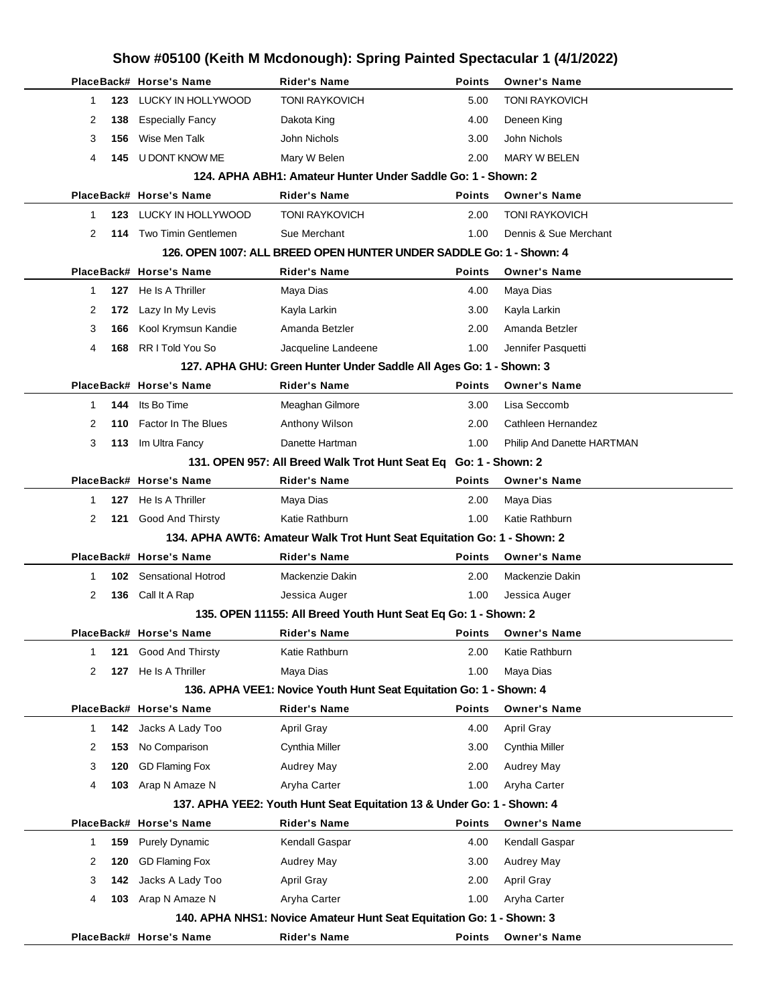|              |     |                         | Show #05100 (Keith M Mcdonough): Spring Painted Spectacular 1 (4/1/2022) |               |                            |
|--------------|-----|-------------------------|--------------------------------------------------------------------------|---------------|----------------------------|
|              |     | PlaceBack# Horse's Name | <b>Rider's Name</b>                                                      | <b>Points</b> | <b>Owner's Name</b>        |
| $\mathbf{1}$ | 123 | LUCKY IN HOLLYWOOD      | <b>TONI RAYKOVICH</b>                                                    | 5.00          | <b>TONI RAYKOVICH</b>      |
| 2            | 138 | <b>Especially Fancy</b> | Dakota King                                                              | 4.00          | Deneen King                |
| 3            | 156 | Wise Men Talk           | John Nichols                                                             | 3.00          | John Nichols               |
| 4            | 145 | U DONT KNOW ME          | Mary W Belen                                                             | 2.00          | <b>MARY W BELEN</b>        |
|              |     |                         | 124. APHA ABH1: Amateur Hunter Under Saddle Go: 1 - Shown: 2             |               |                            |
|              |     | PlaceBack# Horse's Name | <b>Rider's Name</b>                                                      | <b>Points</b> | <b>Owner's Name</b>        |
| $\mathbf 1$  | 123 | LUCKY IN HOLLYWOOD      | <b>TONI RAYKOVICH</b>                                                    | 2.00          | <b>TONI RAYKOVICH</b>      |
| 2            | 114 | Two Timin Gentlemen     | Sue Merchant                                                             | 1.00          | Dennis & Sue Merchant      |
|              |     |                         | 126. OPEN 1007: ALL BREED OPEN HUNTER UNDER SADDLE Go: 1 - Shown: 4      |               |                            |
|              |     | PlaceBack# Horse's Name | <b>Rider's Name</b>                                                      | Points        | <b>Owner's Name</b>        |
| $\mathbf 1$  | 127 | He Is A Thriller        | Maya Dias                                                                | 4.00          | Maya Dias                  |
| 2            | 172 | Lazy In My Levis        | Kayla Larkin                                                             | 3.00          | Kayla Larkin               |
| 3            | 166 | Kool Krymsun Kandie     | Amanda Betzler                                                           | 2.00          | Amanda Betzler             |
| 4            | 168 | RR I Told You So        | Jacqueline Landeene                                                      | 1.00          | Jennifer Pasquetti         |
|              |     |                         | 127. APHA GHU: Green Hunter Under Saddle All Ages Go: 1 - Shown: 3       |               |                            |
|              |     | PlaceBack# Horse's Name | Rider's Name                                                             | Points        | <b>Owner's Name</b>        |
| 1            | 144 | Its Bo Time             | Meaghan Gilmore                                                          | 3.00          | Lisa Seccomb               |
| 2            | 110 | Factor In The Blues     | Anthony Wilson                                                           | 2.00          | Cathleen Hernandez         |
| 3            | 113 | Im Ultra Fancy          | Danette Hartman                                                          | 1.00          | Philip And Danette HARTMAN |
|              |     |                         | 131. OPEN 957: All Breed Walk Trot Hunt Seat Eq Go: 1 - Shown: 2         |               |                            |
|              |     | PlaceBack# Horse's Name | <b>Rider's Name</b>                                                      | <b>Points</b> | <b>Owner's Name</b>        |
| 1            | 127 | He Is A Thriller        | Maya Dias                                                                | 2.00          | Maya Dias                  |
| 2            | 121 | Good And Thirsty        | Katie Rathburn                                                           | 1.00          | Katie Rathburn             |
|              |     |                         | 134. APHA AWT6: Amateur Walk Trot Hunt Seat Equitation Go: 1 - Shown: 2  |               |                            |
|              |     | PlaceBack# Horse's Name | <b>Rider's Name</b>                                                      | <b>Points</b> | <b>Owner's Name</b>        |
| 1            | 102 | Sensational Hotrod      | Mackenzie Dakin                                                          | 2.00          | Mackenzie Dakin            |
| 2            | 136 | Call It A Rap           | Jessica Auger                                                            | 1.00          | Jessica Auger              |
|              |     |                         | 135. OPEN 11155: All Breed Youth Hunt Seat Eq Go: 1 - Shown: 2           |               |                            |
|              |     | PlaceBack# Horse's Name | <b>Rider's Name</b>                                                      | Points        | <b>Owner's Name</b>        |
| 1            | 121 | Good And Thirsty        | Katie Rathburn                                                           | 2.00          | Katie Rathburn             |
| 2            | 127 | He Is A Thriller        | Maya Dias                                                                | 1.00          | Maya Dias                  |
|              |     |                         | 136. APHA VEE1: Novice Youth Hunt Seat Equitation Go: 1 - Shown: 4       |               |                            |
|              |     | PlaceBack# Horse's Name | <b>Rider's Name</b>                                                      | Points        | <b>Owner's Name</b>        |
| 1            | 142 | Jacks A Lady Too        | April Gray                                                               | 4.00          | April Gray                 |
| 2            | 153 | No Comparison           | Cynthia Miller                                                           | 3.00          | Cynthia Miller             |
| 3            | 120 | <b>GD Flaming Fox</b>   | <b>Audrey May</b>                                                        | 2.00          | Audrey May                 |
| 4            | 103 | Arap N Amaze N          | Aryha Carter                                                             | 1.00          | Aryha Carter               |
|              |     |                         | 137. APHA YEE2: Youth Hunt Seat Equitation 13 & Under Go: 1 - Shown: 4   |               |                            |
|              |     | PlaceBack# Horse's Name | <b>Rider's Name</b>                                                      | <b>Points</b> | <b>Owner's Name</b>        |
| 1            | 159 | <b>Purely Dynamic</b>   | Kendall Gaspar                                                           | 4.00          | Kendall Gaspar             |
| 2            | 120 | <b>GD Flaming Fox</b>   | <b>Audrey May</b>                                                        | 3.00          | Audrey May                 |
| 3            | 142 | Jacks A Lady Too        | <b>April Gray</b>                                                        | 2.00          | <b>April Gray</b>          |
| 4            | 103 | Arap N Amaze N          | Aryha Carter                                                             | 1.00          | Aryha Carter               |
|              |     |                         | 140. APHA NHS1: Novice Amateur Hunt Seat Equitation Go: 1 - Shown: 3     |               |                            |
|              |     | PlaceBack# Horse's Name | <b>Rider's Name</b>                                                      | Points        | <b>Owner's Name</b>        |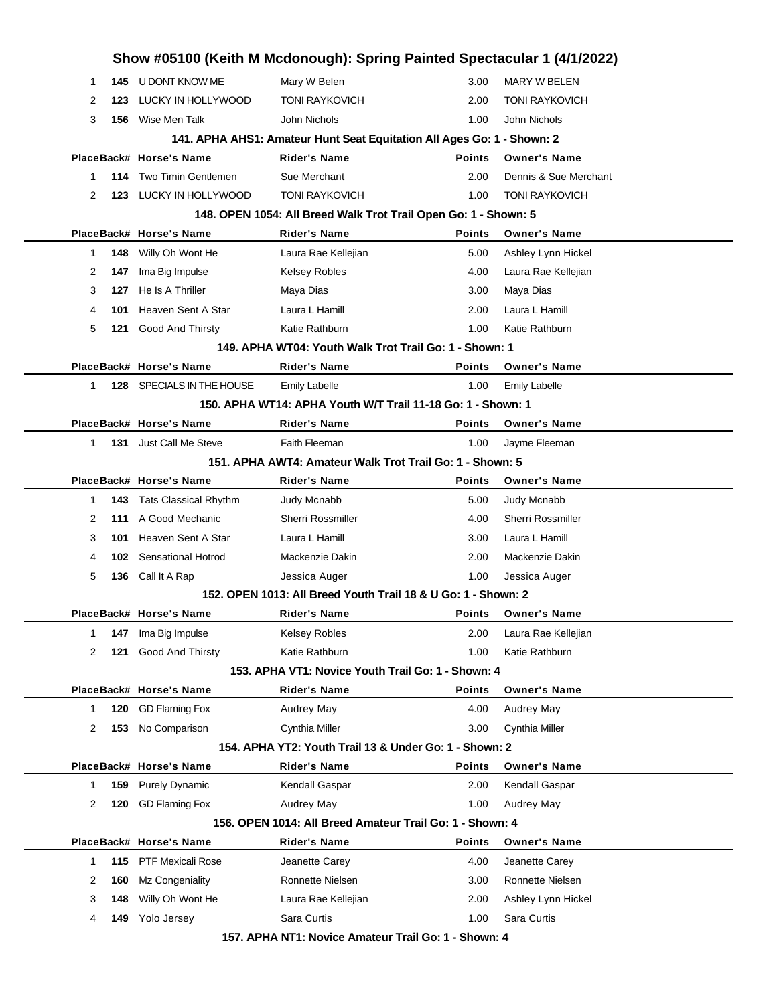|                                                          |     | Show #05100 (Keith M Mcdonough): Spring Painted Spectacular 1 (4/1/2022) |                                                                        |               |                          |  |  |  |  |
|----------------------------------------------------------|-----|--------------------------------------------------------------------------|------------------------------------------------------------------------|---------------|--------------------------|--|--|--|--|
| -1                                                       |     | 145 U DONT KNOW ME                                                       | Mary W Belen                                                           | 3.00          | MARY W BELEN             |  |  |  |  |
| 2                                                        | 123 | LUCKY IN HOLLYWOOD                                                       | <b>TONI RAYKOVICH</b>                                                  | 2.00          | <b>TONI RAYKOVICH</b>    |  |  |  |  |
| 3                                                        | 156 | Wise Men Talk                                                            | John Nichols                                                           | 1.00          | John Nichols             |  |  |  |  |
|                                                          |     |                                                                          | 141. APHA AHS1: Amateur Hunt Seat Equitation All Ages Go: 1 - Shown: 2 |               |                          |  |  |  |  |
|                                                          |     | PlaceBack# Horse's Name                                                  | <b>Rider's Name</b>                                                    | <b>Points</b> | <b>Owner's Name</b>      |  |  |  |  |
| 1                                                        | 114 | <b>Two Timin Gentlemen</b>                                               | Sue Merchant                                                           | 2.00          | Dennis & Sue Merchant    |  |  |  |  |
| 2                                                        | 123 | LUCKY IN HOLLYWOOD                                                       | <b>TONI RAYKOVICH</b>                                                  | 1.00          | <b>TONI RAYKOVICH</b>    |  |  |  |  |
|                                                          |     |                                                                          | 148. OPEN 1054: All Breed Walk Trot Trail Open Go: 1 - Shown: 5        |               |                          |  |  |  |  |
|                                                          |     | PlaceBack# Horse's Name                                                  | <b>Rider's Name</b>                                                    | <b>Points</b> | <b>Owner's Name</b>      |  |  |  |  |
| 1                                                        | 148 | Willy Oh Wont He                                                         | Laura Rae Kellejian                                                    | 5.00          | Ashley Lynn Hickel       |  |  |  |  |
| 2                                                        | 147 | Ima Big Impulse                                                          | <b>Kelsey Robles</b>                                                   | 4.00          | Laura Rae Kellejian      |  |  |  |  |
| 3                                                        | 127 | He Is A Thriller                                                         | Maya Dias                                                              | 3.00          | Maya Dias                |  |  |  |  |
| 4                                                        | 101 | Heaven Sent A Star                                                       | Laura L Hamill                                                         | 2.00          | Laura L Hamill           |  |  |  |  |
| 5                                                        | 121 | <b>Good And Thirsty</b>                                                  | Katie Rathburn                                                         | 1.00          | Katie Rathburn           |  |  |  |  |
|                                                          |     |                                                                          | 149. APHA WT04: Youth Walk Trot Trail Go: 1 - Shown: 1                 |               |                          |  |  |  |  |
|                                                          |     | PlaceBack# Horse's Name                                                  | <b>Rider's Name</b>                                                    | <b>Points</b> | <b>Owner's Name</b>      |  |  |  |  |
| 1                                                        |     | 128 SPECIALS IN THE HOUSE                                                | <b>Emily Labelle</b>                                                   | 1.00          | <b>Emily Labelle</b>     |  |  |  |  |
|                                                          |     |                                                                          | 150. APHA WT14: APHA Youth W/T Trail 11-18 Go: 1 - Shown: 1            |               |                          |  |  |  |  |
|                                                          |     | PlaceBack# Horse's Name                                                  | <b>Rider's Name</b>                                                    | <b>Points</b> | <b>Owner's Name</b>      |  |  |  |  |
| $\mathbf 1$                                              |     | <b>131</b> Just Call Me Steve                                            | Faith Fleeman                                                          | 1.00          | Jayme Fleeman            |  |  |  |  |
| 151. APHA AWT4: Amateur Walk Trot Trail Go: 1 - Shown: 5 |     |                                                                          |                                                                        |               |                          |  |  |  |  |
|                                                          |     | PlaceBack# Horse's Name                                                  | <b>Rider's Name</b>                                                    | <b>Points</b> | <b>Owner's Name</b>      |  |  |  |  |
| 1                                                        | 143 | <b>Tats Classical Rhythm</b>                                             | Judy Mcnabb                                                            | 5.00          | Judy Mcnabb              |  |  |  |  |
| 2                                                        | 111 | A Good Mechanic                                                          | Sherri Rossmiller                                                      | 4.00          | <b>Sherri Rossmiller</b> |  |  |  |  |
| 3                                                        | 101 | Heaven Sent A Star                                                       | Laura L Hamill                                                         | 3.00          | Laura L Hamill           |  |  |  |  |
| 4                                                        | 102 | <b>Sensational Hotrod</b>                                                | Mackenzie Dakin                                                        | 2.00          | Mackenzie Dakin          |  |  |  |  |
| 5                                                        | 136 | Call It A Rap                                                            | Jessica Auger                                                          | 1.00          | Jessica Auger            |  |  |  |  |
|                                                          |     |                                                                          | 152, OPEN 1013: All Breed Youth Trail 18 & U Go: 1 - Shown: 2          |               |                          |  |  |  |  |
|                                                          |     | PlaceBack# Horse's Name                                                  | Rider's Name                                                           | <b>Points</b> | <b>Owner's Name</b>      |  |  |  |  |
| -1                                                       | 147 | Ima Big Impulse                                                          | Kelsey Robles                                                          | 2.00          | Laura Rae Kellejian      |  |  |  |  |
| 2                                                        | 121 | Good And Thirsty                                                         | Katie Rathburn                                                         | 1.00          | Katie Rathburn           |  |  |  |  |
|                                                          |     |                                                                          | 153. APHA VT1: Novice Youth Trail Go: 1 - Shown: 4                     |               |                          |  |  |  |  |
|                                                          |     | PlaceBack# Horse's Name                                                  | <b>Rider's Name</b>                                                    | <b>Points</b> | <b>Owner's Name</b>      |  |  |  |  |
| -1                                                       | 120 | <b>GD Flaming Fox</b>                                                    | Audrey May                                                             | 4.00          | Audrey May               |  |  |  |  |
| 2                                                        | 153 | No Comparison                                                            | Cynthia Miller                                                         | 3.00          | Cynthia Miller           |  |  |  |  |
|                                                          |     |                                                                          | 154, APHA YT2: Youth Trail 13 & Under Go: 1 - Shown: 2                 |               |                          |  |  |  |  |
|                                                          |     | PlaceBack# Horse's Name                                                  | <b>Rider's Name</b>                                                    | <b>Points</b> | <b>Owner's Name</b>      |  |  |  |  |
| 1                                                        | 159 | <b>Purely Dynamic</b>                                                    | Kendall Gaspar                                                         | 2.00          | Kendall Gaspar           |  |  |  |  |
| 2                                                        | 120 | <b>GD Flaming Fox</b>                                                    | Audrey May                                                             | 1.00          | <b>Audrey May</b>        |  |  |  |  |
|                                                          |     |                                                                          | 156, OPEN 1014: All Breed Amateur Trail Go: 1 - Shown: 4               |               |                          |  |  |  |  |
|                                                          |     | PlaceBack# Horse's Name                                                  | <b>Rider's Name</b>                                                    | <b>Points</b> | <b>Owner's Name</b>      |  |  |  |  |
| $\mathbf{1}$                                             | 115 | <b>PTF Mexicali Rose</b>                                                 | Jeanette Carey                                                         | 4.00          | Jeanette Carey           |  |  |  |  |
| 2                                                        | 160 | Mz Congeniality                                                          | Ronnette Nielsen                                                       | 3.00          | Ronnette Nielsen         |  |  |  |  |
| 3                                                        | 148 | Willy Oh Wont He                                                         | Laura Rae Kellejian                                                    | 2.00          | Ashley Lynn Hickel       |  |  |  |  |
| 4                                                        | 149 | Yolo Jersey                                                              | Sara Curtis                                                            | 1.00          | Sara Curtis              |  |  |  |  |
|                                                          |     |                                                                          |                                                                        |               |                          |  |  |  |  |

**157. APHA NT1: Novice Amateur Trail Go: 1 - Shown: 4**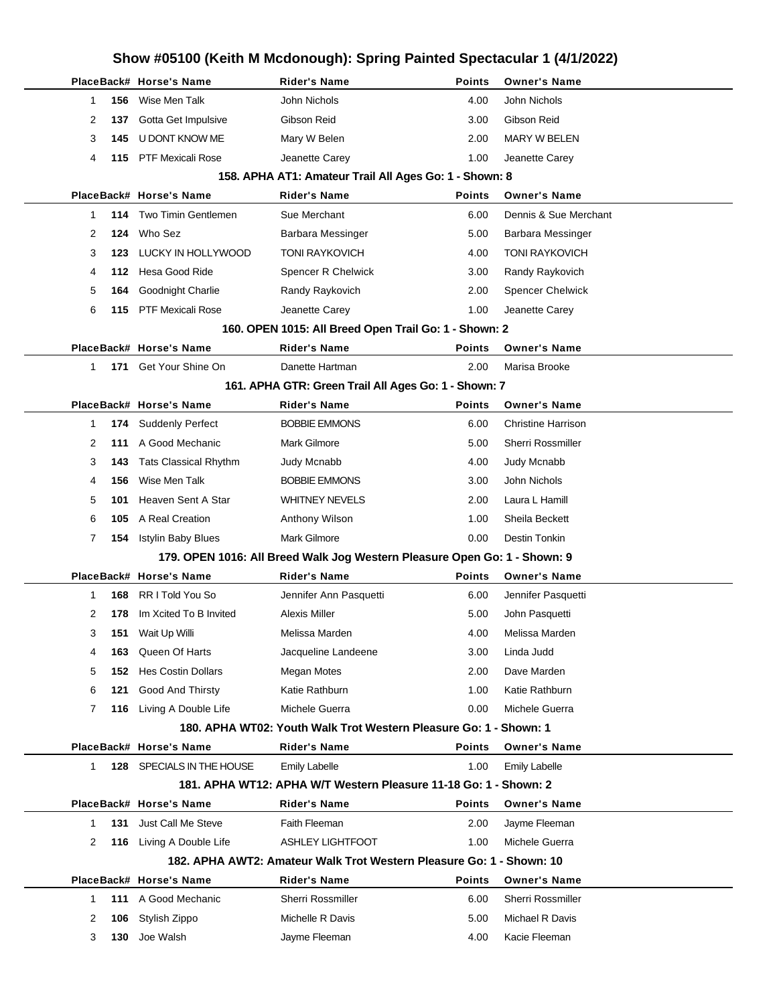|   |     |                              | Show #05100 (Keith M Mcdonough): Spring Painted Spectacular 1 (4/1/2022)  |               |                           |  |
|---|-----|------------------------------|---------------------------------------------------------------------------|---------------|---------------------------|--|
|   |     | PlaceBack# Horse's Name      | <b>Rider's Name</b>                                                       | <b>Points</b> | <b>Owner's Name</b>       |  |
| 1 | 156 | Wise Men Talk                | John Nichols                                                              | 4.00          | John Nichols              |  |
| 2 | 137 | Gotta Get Impulsive          | Gibson Reid                                                               | 3.00          | Gibson Reid               |  |
| 3 | 145 | U DONT KNOW ME               | Mary W Belen                                                              | 2.00          | MARY W BELEN              |  |
| 4 | 115 | <b>PTF Mexicali Rose</b>     | Jeanette Carey                                                            | 1.00          | Jeanette Carey            |  |
|   |     |                              | 158. APHA AT1: Amateur Trail All Ages Go: 1 - Shown: 8                    |               |                           |  |
|   |     | PlaceBack# Horse's Name      | <b>Rider's Name</b>                                                       | <b>Points</b> | <b>Owner's Name</b>       |  |
| 1 | 114 | <b>Two Timin Gentlemen</b>   | Sue Merchant                                                              | 6.00          | Dennis & Sue Merchant     |  |
| 2 | 124 | Who Sez                      | Barbara Messinger                                                         | 5.00          | <b>Barbara Messinger</b>  |  |
| 3 | 123 | LUCKY IN HOLLYWOOD           | <b>TONI RAYKOVICH</b>                                                     | 4.00          | <b>TONI RAYKOVICH</b>     |  |
| 4 | 112 | Hesa Good Ride               | Spencer R Chelwick                                                        | 3.00          | Randy Raykovich           |  |
| 5 | 164 | Goodnight Charlie            | Randy Raykovich                                                           | 2.00          | <b>Spencer Chelwick</b>   |  |
| 6 | 115 | <b>PTF Mexicali Rose</b>     | Jeanette Carey                                                            | 1.00          | Jeanette Carey            |  |
|   |     |                              | 160. OPEN 1015: All Breed Open Trail Go: 1 - Shown: 2                     |               |                           |  |
|   |     | PlaceBack# Horse's Name      | <b>Rider's Name</b>                                                       | <b>Points</b> | <b>Owner's Name</b>       |  |
| 1 | 171 | Get Your Shine On            | Danette Hartman                                                           | 2.00          | Marisa Brooke             |  |
|   |     |                              | 161. APHA GTR: Green Trail All Ages Go: 1 - Shown: 7                      |               |                           |  |
|   |     | PlaceBack# Horse's Name      | <b>Rider's Name</b>                                                       | <b>Points</b> | <b>Owner's Name</b>       |  |
| 1 | 174 | <b>Suddenly Perfect</b>      | <b>BOBBIE EMMONS</b>                                                      | 6.00          | <b>Christine Harrison</b> |  |
| 2 | 111 | A Good Mechanic              | Mark Gilmore                                                              | 5.00          | Sherri Rossmiller         |  |
| 3 | 143 | <b>Tats Classical Rhythm</b> | Judy Mcnabb                                                               | 4.00          | Judy Mcnabb               |  |
| 4 | 156 | Wise Men Talk                | <b>BOBBIE EMMONS</b>                                                      | 3.00          | John Nichols              |  |
| 5 | 101 | Heaven Sent A Star           | <b>WHITNEY NEVELS</b>                                                     | 2.00          | Laura L Hamill            |  |
| 6 | 105 | A Real Creation              | Anthony Wilson                                                            | 1.00          | Sheila Beckett            |  |
| 7 | 154 | <b>Istylin Baby Blues</b>    | Mark Gilmore                                                              | 0.00          | Destin Tonkin             |  |
|   |     |                              | 179. OPEN 1016: All Breed Walk Jog Western Pleasure Open Go: 1 - Shown: 9 |               |                           |  |
|   |     | PlaceBack# Horse's Name      | <b>Rider's Name</b>                                                       | <b>Points</b> | <b>Owner's Name</b>       |  |
| 1 | 168 | RR I Told You So             | Jennifer Ann Pasquetti                                                    | 6.00          | Jennifer Pasquetti        |  |
| 2 | 178 | Im Xcited To B Invited       | Alexis Miller                                                             | 5.00          | John Pasquetti            |  |
| 3 | 151 | Wait Up Willi                | Melissa Marden                                                            | 4.00          | Melissa Marden            |  |
| 4 | 163 | Queen Of Harts               | Jacqueline Landeene                                                       | 3.00          | Linda Judd                |  |
| 5 | 152 | <b>Hes Costin Dollars</b>    | Megan Motes                                                               | 2.00          | Dave Marden               |  |
| 6 | 121 | Good And Thirsty             | Katie Rathburn                                                            | 1.00          | Katie Rathburn            |  |
| 7 | 116 | Living A Double Life         | Michele Guerra                                                            | 0.00          | Michele Guerra            |  |
|   |     |                              | 180. APHA WT02: Youth Walk Trot Western Pleasure Go: 1 - Shown: 1         |               |                           |  |
|   |     | PlaceBack# Horse's Name      | <b>Rider's Name</b>                                                       | <b>Points</b> | <b>Owner's Name</b>       |  |
| 1 | 128 | SPECIALS IN THE HOUSE        | <b>Emily Labelle</b>                                                      | 1.00          | <b>Emily Labelle</b>      |  |
|   |     |                              | 181. APHA WT12: APHA W/T Western Pleasure 11-18 Go: 1 - Shown: 2          |               |                           |  |
|   |     | PlaceBack# Horse's Name      | <b>Rider's Name</b>                                                       | <b>Points</b> | <b>Owner's Name</b>       |  |
| 1 | 131 | Just Call Me Steve           | Faith Fleeman                                                             | 2.00          | Jayme Fleeman             |  |
| 2 | 116 | Living A Double Life         | <b>ASHLEY LIGHTFOOT</b>                                                   | 1.00          | Michele Guerra            |  |
|   |     |                              | 182. APHA AWT2: Amateur Walk Trot Western Pleasure Go: 1 - Shown: 10      |               |                           |  |
|   |     | PlaceBack# Horse's Name      | <b>Rider's Name</b>                                                       | <b>Points</b> | <b>Owner's Name</b>       |  |
| 1 | 111 | A Good Mechanic              | Sherri Rossmiller                                                         | 6.00          | Sherri Rossmiller         |  |
| 2 | 106 | Stylish Zippo                | Michelle R Davis                                                          | 5.00          | Michael R Davis           |  |
| 3 | 130 | Joe Walsh                    | Jayme Fleeman                                                             | 4.00          | Kacie Fleeman             |  |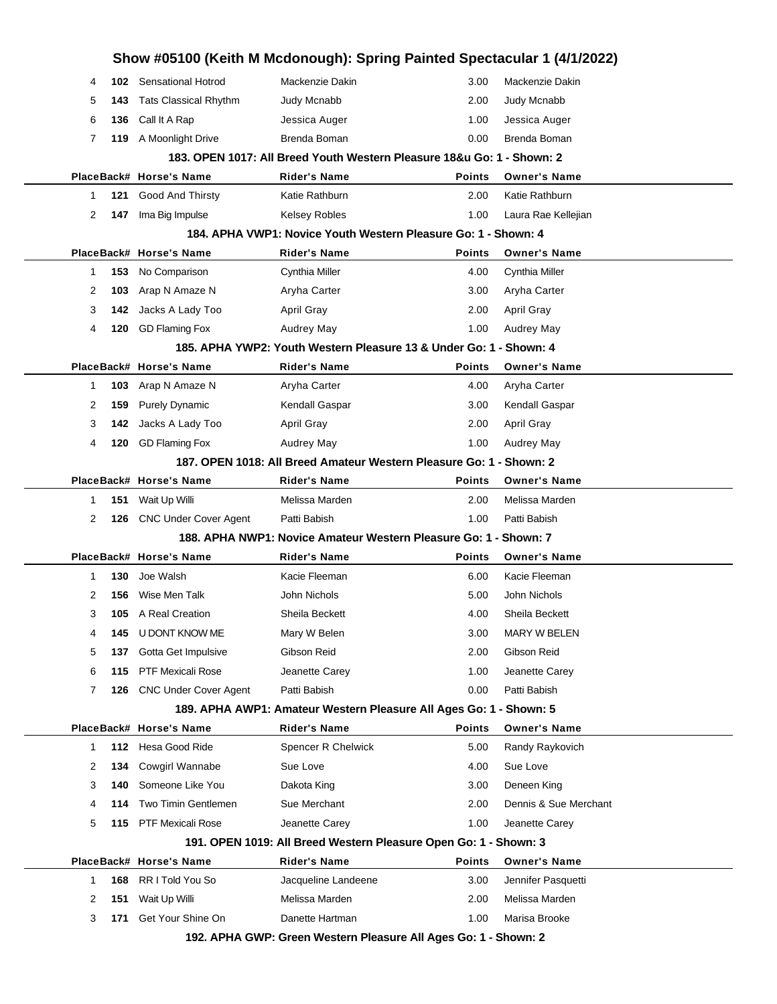|              |     |                              |                                                                        | Show #05100 (Keith M Mcdonough): Spring Painted Spectacular 1 (4/1/2022) |                       |
|--------------|-----|------------------------------|------------------------------------------------------------------------|--------------------------------------------------------------------------|-----------------------|
| 4            |     | 102 Sensational Hotrod       | Mackenzie Dakin                                                        | 3.00                                                                     | Mackenzie Dakin       |
| 5            | 143 | <b>Tats Classical Rhythm</b> | Judy Mcnabb                                                            | 2.00                                                                     | Judy Mcnabb           |
| 6            | 136 | Call It A Rap                | Jessica Auger                                                          | 1.00                                                                     | Jessica Auger         |
| 7            | 119 | A Moonlight Drive            | Brenda Boman                                                           | 0.00                                                                     | Brenda Boman          |
|              |     |                              | 183. OPEN 1017: All Breed Youth Western Pleasure 18&u Go: 1 - Shown: 2 |                                                                          |                       |
|              |     | PlaceBack# Horse's Name      | <b>Rider's Name</b>                                                    | Points                                                                   | <b>Owner's Name</b>   |
| 1            | 121 | Good And Thirsty             | Katie Rathburn                                                         | 2.00                                                                     | Katie Rathburn        |
| 2            | 147 | Ima Big Impulse              | <b>Kelsey Robles</b>                                                   | 1.00                                                                     | Laura Rae Kellejian   |
|              |     |                              | 184. APHA VWP1: Novice Youth Western Pleasure Go: 1 - Shown: 4         |                                                                          |                       |
|              |     | PlaceBack# Horse's Name      | <b>Rider's Name</b>                                                    | <b>Points</b>                                                            | <b>Owner's Name</b>   |
| $\mathbf{1}$ | 153 | No Comparison                | Cynthia Miller                                                         | 4.00                                                                     | Cynthia Miller        |
| 2            | 103 | Arap N Amaze N               | Aryha Carter                                                           | 3.00                                                                     | Aryha Carter          |
| 3            | 142 | Jacks A Lady Too             | April Gray                                                             | 2.00                                                                     | <b>April Gray</b>     |
| 4            | 120 | <b>GD Flaming Fox</b>        | Audrey May                                                             | 1.00                                                                     | <b>Audrey May</b>     |
|              |     |                              | 185, APHA YWP2: Youth Western Pleasure 13 & Under Go: 1 - Shown: 4     |                                                                          |                       |
|              |     | PlaceBack# Horse's Name      | <b>Rider's Name</b>                                                    | <b>Points</b>                                                            | <b>Owner's Name</b>   |
| $\mathbf{1}$ | 103 | Arap N Amaze N               | Aryha Carter                                                           | 4.00                                                                     | Aryha Carter          |
| 2            | 159 | <b>Purely Dynamic</b>        | Kendall Gaspar                                                         | 3.00                                                                     | Kendall Gaspar        |
| 3            | 142 | Jacks A Lady Too             | April Gray                                                             | 2.00                                                                     | April Gray            |
| 4            | 120 | <b>GD Flaming Fox</b>        | Audrey May                                                             | 1.00                                                                     | <b>Audrey May</b>     |
|              |     |                              | 187, OPEN 1018: All Breed Amateur Western Pleasure Go: 1 - Shown: 2    |                                                                          |                       |
|              |     | PlaceBack# Horse's Name      | <b>Rider's Name</b>                                                    | <b>Points</b>                                                            | <b>Owner's Name</b>   |
|              |     |                              |                                                                        |                                                                          |                       |
| 1            | 151 | Wait Up Willi                | Melissa Marden                                                         | 2.00                                                                     | Melissa Marden        |
| 2            | 126 | <b>CNC Under Cover Agent</b> | Patti Babish                                                           | 1.00                                                                     | Patti Babish          |
|              |     |                              | 188. APHA NWP1: Novice Amateur Western Pleasure Go: 1 - Shown: 7       |                                                                          |                       |
|              |     | PlaceBack# Horse's Name      | <b>Rider's Name</b>                                                    | <b>Points</b>                                                            | <b>Owner's Name</b>   |
| 1            | 130 | Joe Walsh                    | Kacie Fleeman                                                          | 6.00                                                                     | Kacie Fleeman         |
| 2            | 156 | Wise Men Talk                | John Nichols                                                           | 5.00                                                                     | John Nichols          |
| 3            | 105 | A Real Creation              | Sheila Beckett                                                         | 4.00                                                                     | Sheila Beckett        |
| 4            | 145 | U DONT KNOW ME               | Mary W Belen                                                           | 3.00                                                                     | MARY W BELEN          |
| 5            | 137 | Gotta Get Impulsive          | Gibson Reid                                                            | 2.00                                                                     | Gibson Reid           |
| 6            | 115 | <b>PTF Mexicali Rose</b>     | Jeanette Carey                                                         | 1.00                                                                     | Jeanette Carey        |
| 7            | 126 | <b>CNC Under Cover Agent</b> | Patti Babish                                                           | 0.00                                                                     | Patti Babish          |
|              |     |                              | 189. APHA AWP1: Amateur Western Pleasure All Ages Go: 1 - Shown: 5     |                                                                          |                       |
|              |     | PlaceBack# Horse's Name      | <b>Rider's Name</b>                                                    | <b>Points</b>                                                            | <b>Owner's Name</b>   |
| 1            |     | 112 Hesa Good Ride           | Spencer R Chelwick                                                     | 5.00                                                                     | Randy Raykovich       |
| 2            | 134 | Cowgirl Wannabe              | Sue Love                                                               | 4.00                                                                     | Sue Love              |
| 3            | 140 | Someone Like You             | Dakota King                                                            | 3.00                                                                     | Deneen King           |
| 4            | 114 | Two Timin Gentlemen          | Sue Merchant                                                           | 2.00                                                                     | Dennis & Sue Merchant |
| 5            |     | 115 PTF Mexicali Rose        | Jeanette Carey                                                         | 1.00                                                                     | Jeanette Carey        |
|              |     |                              | 191. OPEN 1019: All Breed Western Pleasure Open Go: 1 - Shown: 3       |                                                                          |                       |
|              |     | PlaceBack# Horse's Name      | <b>Rider's Name</b>                                                    | Points                                                                   | <b>Owner's Name</b>   |
| 1            | 168 | RR I Told You So             | Jacqueline Landeene                                                    | 3.00                                                                     | Jennifer Pasquetti    |
| 2            | 151 | Wait Up Willi                | Melissa Marden                                                         | 2.00                                                                     | Melissa Marden        |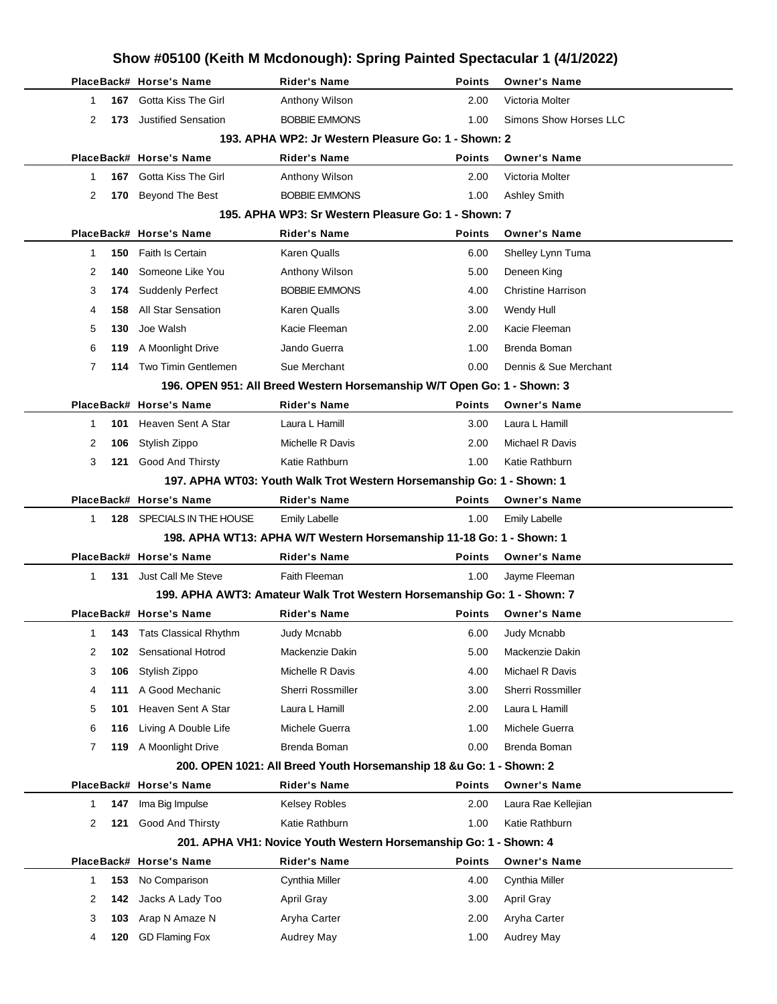|              |     |                                                      | Show #05100 (Keith M Mcdonough): Spring Painted Spectacular 1 (4/1/2022)                     |                       |                                             |  |
|--------------|-----|------------------------------------------------------|----------------------------------------------------------------------------------------------|-----------------------|---------------------------------------------|--|
|              |     | PlaceBack# Horse's Name                              | <b>Rider's Name</b>                                                                          | <b>Points</b>         | <b>Owner's Name</b>                         |  |
| 1            | 167 | Gotta Kiss The Girl                                  | Anthony Wilson                                                                               | 2.00                  | Victoria Molter                             |  |
| 2            | 173 | <b>Justified Sensation</b>                           | <b>BOBBIE EMMONS</b>                                                                         | 1.00                  | Simons Show Horses LLC                      |  |
|              |     |                                                      | 193. APHA WP2: Jr Western Pleasure Go: 1 - Shown: 2                                          |                       |                                             |  |
|              |     | PlaceBack# Horse's Name                              | <b>Rider's Name</b>                                                                          | <b>Points</b>         | <b>Owner's Name</b>                         |  |
| 1            | 167 | Gotta Kiss The Girl                                  | Anthony Wilson                                                                               | 2.00                  | Victoria Molter                             |  |
| 2            | 170 | Beyond The Best                                      | <b>BOBBIE EMMONS</b>                                                                         | 1.00                  | <b>Ashley Smith</b>                         |  |
|              |     |                                                      | 195. APHA WP3: Sr Western Pleasure Go: 1 - Shown: 7                                          |                       |                                             |  |
|              |     | PlaceBack# Horse's Name                              | <b>Rider's Name</b>                                                                          | <b>Points</b>         | <b>Owner's Name</b>                         |  |
| 1            | 150 | <b>Faith Is Certain</b>                              | Karen Qualls                                                                                 | 6.00                  | Shelley Lynn Tuma                           |  |
| 2            | 140 | Someone Like You                                     | Anthony Wilson                                                                               | 5.00                  | Deneen King                                 |  |
| 3            | 174 | <b>Suddenly Perfect</b>                              | <b>BOBBIE EMMONS</b>                                                                         | 4.00                  | <b>Christine Harrison</b>                   |  |
| 4            | 158 | <b>All Star Sensation</b>                            | Karen Qualls                                                                                 | 3.00                  | Wendy Hull                                  |  |
| 5            | 130 | Joe Walsh                                            | Kacie Fleeman                                                                                | 2.00                  | Kacie Fleeman                               |  |
| 6            | 119 | A Moonlight Drive                                    | Jando Guerra                                                                                 | 1.00                  | Brenda Boman                                |  |
| 7            | 114 | Two Timin Gentlemen                                  | Sue Merchant                                                                                 | 0.00                  | Dennis & Sue Merchant                       |  |
|              |     |                                                      | 196. OPEN 951: All Breed Western Horsemanship W/T Open Go: 1 - Shown: 3                      |                       |                                             |  |
|              |     | PlaceBack# Horse's Name                              | <b>Rider's Name</b>                                                                          | <b>Points</b>         | <b>Owner's Name</b>                         |  |
| 1            | 101 | Heaven Sent A Star                                   | Laura L Hamill                                                                               | 3.00                  | Laura L Hamill                              |  |
| 2            | 106 | Stylish Zippo                                        | Michelle R Davis                                                                             | 2.00                  | Michael R Davis                             |  |
| 3            | 121 | Good And Thirsty                                     | Katie Rathburn                                                                               | 1.00                  | Katie Rathburn                              |  |
|              |     |                                                      | 197. APHA WT03: Youth Walk Trot Western Horsemanship Go: 1 - Shown: 1                        |                       |                                             |  |
| 1            |     | PlaceBack# Horse's Name<br>128 SPECIALS IN THE HOUSE | <b>Rider's Name</b>                                                                          | <b>Points</b><br>1.00 | <b>Owner's Name</b><br><b>Emily Labelle</b> |  |
|              |     |                                                      | <b>Emily Labelle</b><br>198. APHA WT13: APHA W/T Western Horsemanship 11-18 Go: 1 - Shown: 1 |                       |                                             |  |
|              |     | PlaceBack# Horse's Name                              | <b>Rider's Name</b>                                                                          | <b>Points</b>         | <b>Owner's Name</b>                         |  |
| $\mathbf{1}$ |     | 131 Just Call Me Steve                               | Faith Fleeman                                                                                | 1.00                  | Jayme Fleeman                               |  |
|              |     |                                                      | 199. APHA AWT3: Amateur Walk Trot Western Horsemanship Go: 1 - Shown: 7                      |                       |                                             |  |
|              |     | PlaceBack# Horse's Name                              | <b>Rider's Name</b>                                                                          |                       | Points Owner's Name                         |  |
| 1            | 143 | <b>Tats Classical Rhythm</b>                         | Judy Mcnabb                                                                                  | 6.00                  | Judy Mcnabb                                 |  |
| 2            | 102 | Sensational Hotrod                                   | Mackenzie Dakin                                                                              | 5.00                  | Mackenzie Dakin                             |  |
| 3            | 106 | Stylish Zippo                                        | Michelle R Davis                                                                             | 4.00                  | Michael R Davis                             |  |
| 4            | 111 | A Good Mechanic                                      | Sherri Rossmiller                                                                            | 3.00                  | Sherri Rossmiller                           |  |
| 5            | 101 | Heaven Sent A Star                                   | Laura L Hamill                                                                               | 2.00                  | Laura L Hamill                              |  |
| 6            | 116 | Living A Double Life                                 | Michele Guerra                                                                               | 1.00                  | Michele Guerra                              |  |
| 7            | 119 | A Moonlight Drive                                    | Brenda Boman                                                                                 | 0.00                  | Brenda Boman                                |  |
|              |     |                                                      | 200. OPEN 1021: All Breed Youth Horsemanship 18 &u Go: 1 - Shown: 2                          |                       |                                             |  |
|              |     | PlaceBack# Horse's Name                              | <b>Rider's Name</b>                                                                          | <b>Points</b>         | <b>Owner's Name</b>                         |  |
| $\mathbf 1$  | 147 | Ima Big Impulse                                      | Kelsey Robles                                                                                | 2.00                  | Laura Rae Kellejian                         |  |
| 2            | 121 | Good And Thirsty                                     | Katie Rathburn                                                                               | 1.00                  | Katie Rathburn                              |  |
|              |     |                                                      | 201. APHA VH1: Novice Youth Western Horsemanship Go: 1 - Shown: 4                            |                       |                                             |  |
|              |     | PlaceBack# Horse's Name                              | <b>Rider's Name</b>                                                                          | Points                | <b>Owner's Name</b>                         |  |
| $\mathbf 1$  | 153 | No Comparison                                        | Cynthia Miller                                                                               | 4.00                  | Cynthia Miller                              |  |
| 2            | 142 | Jacks A Lady Too                                     | April Gray                                                                                   | 3.00                  | April Gray                                  |  |
| 3            | 103 | Arap N Amaze N                                       | Aryha Carter                                                                                 | 2.00                  | Aryha Carter                                |  |
| 4            | 120 | <b>GD Flaming Fox</b>                                | Audrey May                                                                                   | 1.00                  | <b>Audrey May</b>                           |  |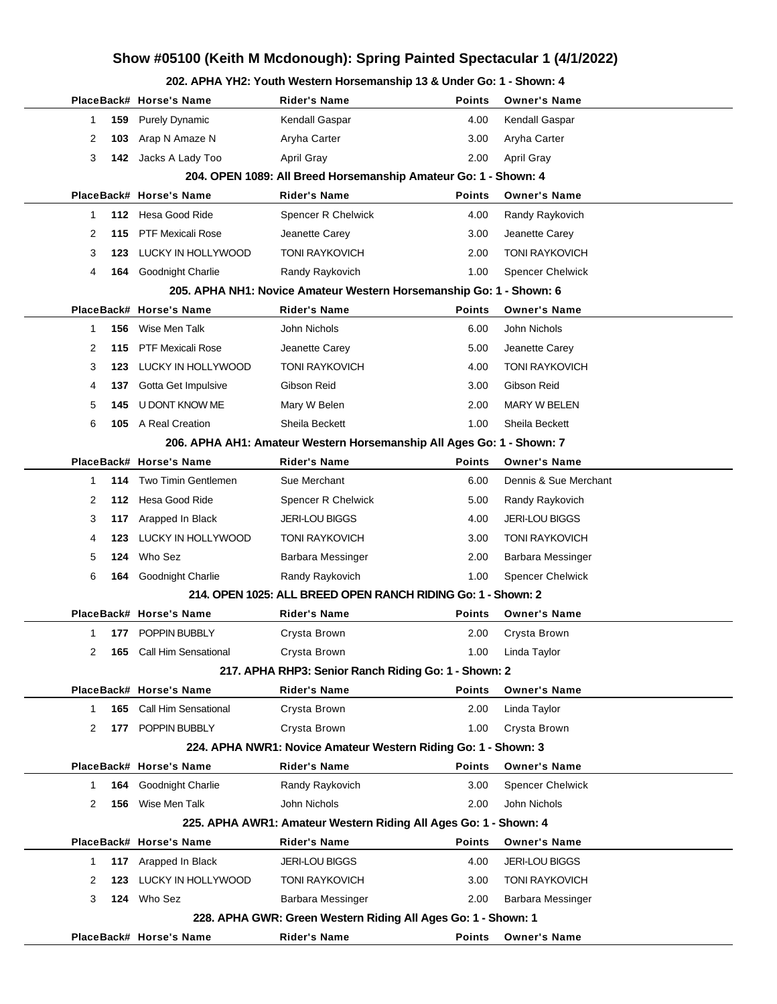## **Show #05100 (Keith M Mcdonough): Spring Painted Spectacular 1 (4/1/2022)**

#### **202. APHA YH2: Youth Western Horsemanship 13 & Under Go: 1 - Shown: 4**

|          | PlaceBack# Horse's Name     | Rider's Name                                                          | <b>Points</b> | <b>Owner's Name</b>     |
|----------|-----------------------------|-----------------------------------------------------------------------|---------------|-------------------------|
| 159<br>1 | <b>Purely Dynamic</b>       | Kendall Gaspar                                                        | 4.00          | Kendall Gaspar          |
| 2<br>103 | Arap N Amaze N              | Aryha Carter                                                          | 3.00          | Aryha Carter            |
| 3<br>142 | Jacks A Lady Too            | April Gray                                                            | 2.00          | April Gray              |
|          |                             | 204. OPEN 1089: All Breed Horsemanship Amateur Go: 1 - Shown: 4       |               |                         |
|          | PlaceBack# Horse's Name     | <b>Rider's Name</b>                                                   | <b>Points</b> | <b>Owner's Name</b>     |
| 1        | 112 Hesa Good Ride          | Spencer R Chelwick                                                    | 4.00          | Randy Raykovich         |
| 115<br>2 | <b>PTF Mexicali Rose</b>    | Jeanette Carey                                                        | 3.00          | Jeanette Carey          |
| 3<br>123 | LUCKY IN HOLLYWOOD          | <b>TONI RAYKOVICH</b>                                                 | 2.00          | <b>TONI RAYKOVICH</b>   |
| 4<br>164 | Goodnight Charlie           | Randy Raykovich                                                       | 1.00          | <b>Spencer Chelwick</b> |
|          |                             | 205. APHA NH1: Novice Amateur Western Horsemanship Go: 1 - Shown: 6   |               |                         |
|          | PlaceBack# Horse's Name     | <b>Rider's Name</b>                                                   | <b>Points</b> | <b>Owner's Name</b>     |
| 156<br>1 | Wise Men Talk               | John Nichols                                                          | 6.00          | John Nichols            |
| 2<br>115 | <b>PTF Mexicali Rose</b>    | Jeanette Carey                                                        | 5.00          | Jeanette Carey          |
| 3<br>123 | LUCKY IN HOLLYWOOD          | <b>TONI RAYKOVICH</b>                                                 | 4.00          | <b>TONI RAYKOVICH</b>   |
| 4<br>137 | Gotta Get Impulsive         | Gibson Reid                                                           | 3.00          | Gibson Reid             |
| 5<br>145 | U DONT KNOW ME              | Mary W Belen                                                          | 2.00          | MARY W BELEN            |
| 6<br>105 | A Real Creation             | Sheila Beckett                                                        | 1.00          | Sheila Beckett          |
|          |                             | 206. APHA AH1: Amateur Western Horsemanship All Ages Go: 1 - Shown: 7 |               |                         |
|          | PlaceBack# Horse's Name     | <b>Rider's Name</b>                                                   | <b>Points</b> | <b>Owner's Name</b>     |
| 1<br>114 | Two Timin Gentlemen         | Sue Merchant                                                          | 6.00          | Dennis & Sue Merchant   |
| 2        | 112 Hesa Good Ride          | Spencer R Chelwick                                                    | 5.00          | Randy Raykovich         |
| 3<br>117 | Arapped In Black            | <b>JERI-LOU BIGGS</b>                                                 | 4.00          | <b>JERI-LOU BIGGS</b>   |
| 4<br>123 | LUCKY IN HOLLYWOOD          | <b>TONI RAYKOVICH</b>                                                 | 3.00          | <b>TONI RAYKOVICH</b>   |
| 5<br>124 | Who Sez                     | Barbara Messinger                                                     | 2.00          | Barbara Messinger       |
| 6<br>164 | Goodnight Charlie           | Randy Raykovich                                                       | 1.00          | <b>Spencer Chelwick</b> |
|          |                             | 214. OPEN 1025: ALL BREED OPEN RANCH RIDING Go: 1 - Shown: 2          |               |                         |
|          | PlaceBack# Horse's Name     | Rider's Name                                                          | <b>Points</b> | <b>Owner's Name</b>     |
| 1        | 177 POPPIN BUBBLY           | Crysta Brown                                                          | 2.00          | Crysta Brown            |
| 2        | 165 Call Him Sensational    | Crysta Brown                                                          | 1.00          | Linda Taylor            |
|          |                             | 217. APHA RHP3: Senior Ranch Riding Go: 1 - Shown: 2                  |               |                         |
|          | PlaceBack# Horse's Name     | Rider's Name                                                          | Points        | <b>Owner's Name</b>     |
| 1<br>165 | <b>Call Him Sensational</b> | Crysta Brown                                                          | 2.00          | Linda Taylor            |
| 2<br>177 | POPPIN BUBBLY               | Crysta Brown                                                          | 1.00          | Crysta Brown            |
|          |                             | 224. APHA NWR1: Novice Amateur Western Riding Go: 1 - Shown: 3        |               |                         |
|          | PlaceBack# Horse's Name     | <b>Rider's Name</b>                                                   | <b>Points</b> | <b>Owner's Name</b>     |
| 164<br>1 | <b>Goodnight Charlie</b>    | Randy Raykovich                                                       | 3.00          | <b>Spencer Chelwick</b> |
| 2<br>156 | Wise Men Talk               | John Nichols                                                          | 2.00          | John Nichols            |
|          |                             | 225. APHA AWR1: Amateur Western Riding All Ages Go: 1 - Shown: 4      |               |                         |
|          | PlaceBack# Horse's Name     | <b>Rider's Name</b>                                                   | <b>Points</b> | <b>Owner's Name</b>     |
| 1        | 117 Arapped In Black        | <b>JERI-LOU BIGGS</b>                                                 | 4.00          | <b>JERI-LOU BIGGS</b>   |
| 2<br>123 | LUCKY IN HOLLYWOOD          | <b>TONI RAYKOVICH</b>                                                 | 3.00          | <b>TONI RAYKOVICH</b>   |
| 3        | 124 Who Sez                 | Barbara Messinger                                                     | 2.00          | Barbara Messinger       |
|          |                             | 228. APHA GWR: Green Western Riding All Ages Go: 1 - Shown: 1         |               |                         |
|          | PlaceBack# Horse's Name     | Rider's Name                                                          | <b>Points</b> | <b>Owner's Name</b>     |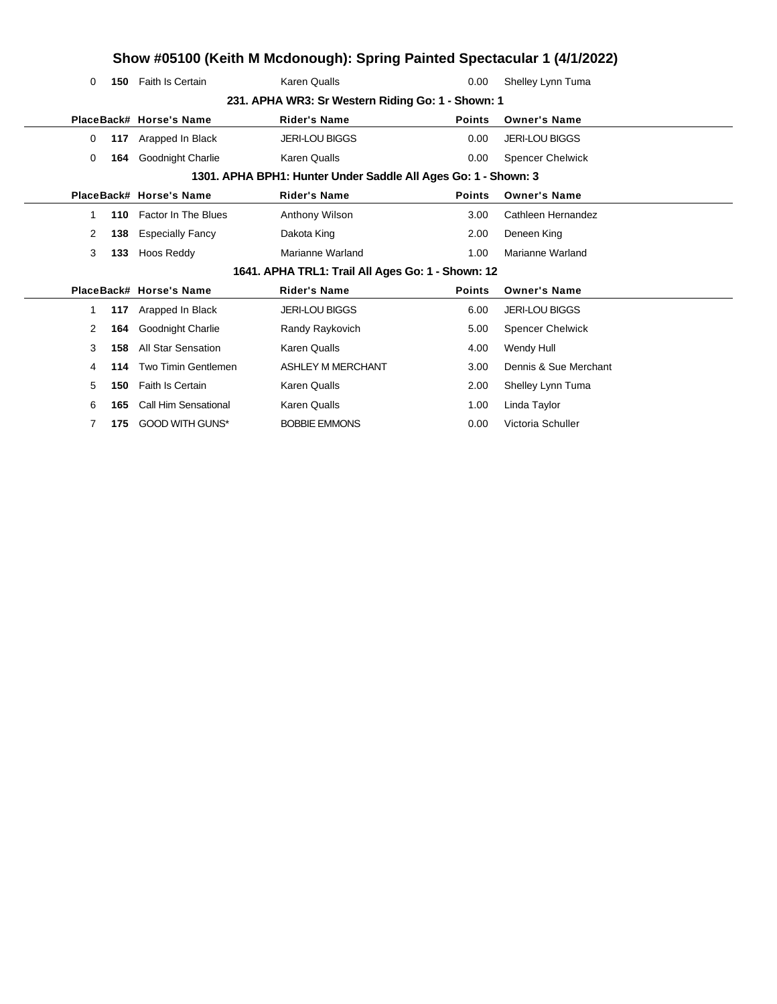# **Show #05100 (Keith M Mcdonough): Spring Painted Spectacular 1 (4/1/2022)**

| 0 | 150 | <b>Faith Is Certain</b>     | <b>Karen Qualls</b>                                            | 0.00          | Shelley Lynn Tuma       |
|---|-----|-----------------------------|----------------------------------------------------------------|---------------|-------------------------|
|   |     |                             | 231. APHA WR3: Sr Western Riding Go: 1 - Shown: 1              |               |                         |
|   |     | PlaceBack# Horse's Name     | <b>Rider's Name</b>                                            | <b>Points</b> | <b>Owner's Name</b>     |
| 0 | 117 | Arapped In Black            | <b>JERI-LOU BIGGS</b>                                          | 0.00          | <b>JERI-LOU BIGGS</b>   |
| 0 | 164 | Goodnight Charlie           | <b>Karen Qualls</b>                                            | 0.00          | <b>Spencer Chelwick</b> |
|   |     |                             | 1301. APHA BPH1: Hunter Under Saddle All Ages Go: 1 - Shown: 3 |               |                         |
|   |     | PlaceBack# Horse's Name     | <b>Rider's Name</b>                                            | <b>Points</b> | <b>Owner's Name</b>     |
| 1 |     | 110 Factor In The Blues     | Anthony Wilson                                                 | 3.00          | Cathleen Hernandez      |
| 2 | 138 | <b>Especially Fancy</b>     | Dakota King                                                    | 2.00          | Deneen King             |
| 3 | 133 | Hoos Reddy                  | Marianne Warland                                               | 1.00          | Marianne Warland        |
|   |     |                             | 1641. APHA TRL1: Trail All Ages Go: 1 - Shown: 12              |               |                         |
|   |     | PlaceBack# Horse's Name     | <b>Rider's Name</b>                                            | <b>Points</b> | <b>Owner's Name</b>     |
| 1 | 117 | Arapped In Black            | <b>JERI-LOU BIGGS</b>                                          | 6.00          | <b>JERI-LOU BIGGS</b>   |
| 2 | 164 | Goodnight Charlie           | Randy Raykovich                                                | 5.00          | <b>Spencer Chelwick</b> |
| 3 | 158 | All Star Sensation          | <b>Karen Qualls</b>                                            | 4.00          | Wendy Hull              |
| 4 | 114 | Two Timin Gentlemen         | <b>ASHLEY M MERCHANT</b>                                       | 3.00          | Dennis & Sue Merchant   |
| 5 | 150 | Faith Is Certain            | <b>Karen Qualls</b>                                            | 2.00          | Shelley Lynn Tuma       |
| 6 | 165 | <b>Call Him Sensational</b> | <b>Karen Qualls</b>                                            | 1.00          | Linda Taylor            |
| 7 | 175 | <b>GOOD WITH GUNS*</b>      | <b>BOBBIE EMMONS</b>                                           | 0.00          | Victoria Schuller       |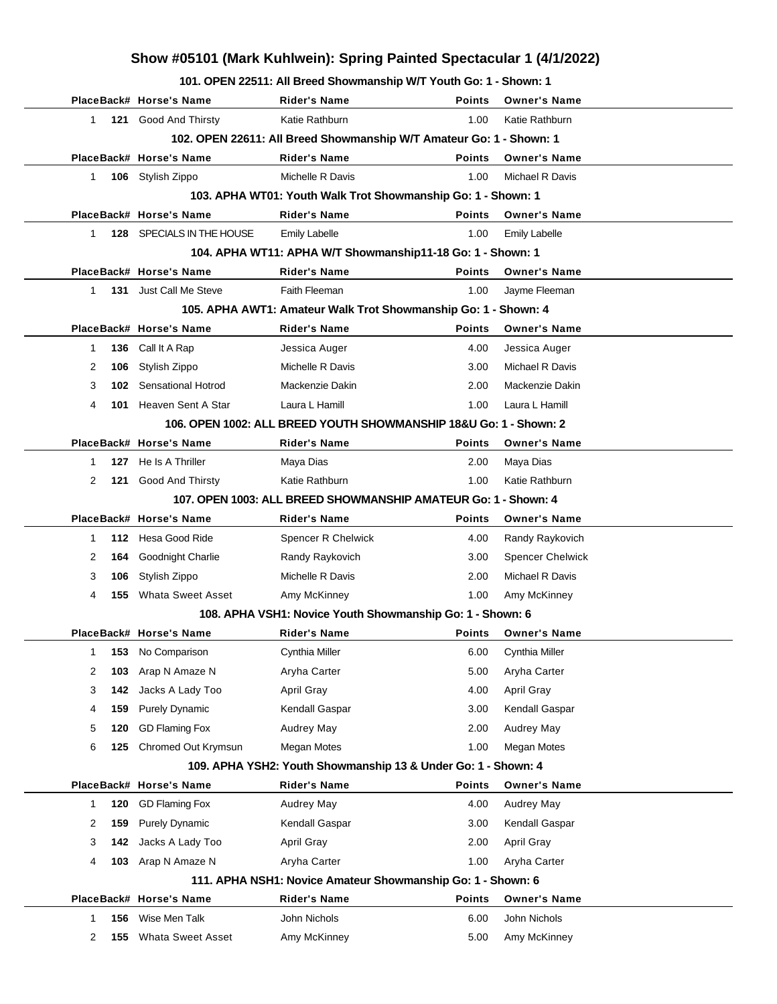## **Show #05101 (Mark Kuhlwein): Spring Painted Spectacular 1 (4/1/2022)**

**101. OPEN 22511: All Breed Showmanship W/T Youth Go: 1 - Shown: 1**

|              |     |                           | UI LIVELUI MI DICCU UNUWINGIISHIP WITTOUGH OU. I                    |               |                         |  |
|--------------|-----|---------------------------|---------------------------------------------------------------------|---------------|-------------------------|--|
|              |     | PlaceBack# Horse's Name   | <b>Rider's Name</b>                                                 | <b>Points</b> | <b>Owner's Name</b>     |  |
| $\mathbf{1}$ |     | 121 Good And Thirsty      | Katie Rathburn                                                      | 1.00          | Katie Rathburn          |  |
|              |     |                           | 102. OPEN 22611: All Breed Showmanship W/T Amateur Go: 1 - Shown: 1 |               |                         |  |
|              |     | PlaceBack# Horse's Name   | <b>Rider's Name</b>                                                 | <b>Points</b> | <b>Owner's Name</b>     |  |
| $\mathbf{1}$ |     | 106 Stylish Zippo         | Michelle R Davis                                                    | 1.00          | Michael R Davis         |  |
|              |     |                           | 103. APHA WT01: Youth Walk Trot Showmanship Go: 1 - Shown: 1        |               |                         |  |
|              |     | PlaceBack# Horse's Name   | <b>Rider's Name</b>                                                 | <b>Points</b> | <b>Owner's Name</b>     |  |
| $\mathbf{1}$ |     | 128 SPECIALS IN THE HOUSE | <b>Emily Labelle</b>                                                | 1.00          | <b>Emily Labelle</b>    |  |
|              |     |                           | 104. APHA WT11: APHA W/T Showmanship11-18 Go: 1 - Shown: 1          |               |                         |  |
|              |     | PlaceBack# Horse's Name   | <b>Rider's Name</b>                                                 | <b>Points</b> | <b>Owner's Name</b>     |  |
| 1            |     | 131 Just Call Me Steve    | Faith Fleeman                                                       | 1.00          | Jayme Fleeman           |  |
|              |     |                           | 105. APHA AWT1: Amateur Walk Trot Showmanship Go: 1 - Shown: 4      |               |                         |  |
|              |     | PlaceBack# Horse's Name   | <b>Rider's Name</b>                                                 | <b>Points</b> | <b>Owner's Name</b>     |  |
| 1            | 136 | Call It A Rap             | Jessica Auger                                                       | 4.00          | Jessica Auger           |  |
| 2            | 106 | Stylish Zippo             | Michelle R Davis                                                    | 3.00          | Michael R Davis         |  |
| 3            | 102 | Sensational Hotrod        | Mackenzie Dakin                                                     | 2.00          | Mackenzie Dakin         |  |
| 4            | 101 | Heaven Sent A Star        | Laura L Hamill                                                      | 1.00          | Laura L Hamill          |  |
|              |     |                           | 106. OPEN 1002: ALL BREED YOUTH SHOWMANSHIP 18&U Go: 1 - Shown: 2   |               |                         |  |
|              |     | PlaceBack# Horse's Name   | <b>Rider's Name</b>                                                 | <b>Points</b> | <b>Owner's Name</b>     |  |
| $\mathbf 1$  | 127 | He Is A Thriller          | Maya Dias                                                           | 2.00          | Maya Dias               |  |
| 2            | 121 | Good And Thirsty          | Katie Rathburn                                                      | 1.00          | Katie Rathburn          |  |
|              |     |                           | 107. OPEN 1003: ALL BREED SHOWMANSHIP AMATEUR Go: 1 - Shown: 4      |               |                         |  |
|              |     | PlaceBack# Horse's Name   | <b>Rider's Name</b>                                                 | <b>Points</b> | <b>Owner's Name</b>     |  |
| $\mathbf{1}$ | 112 | Hesa Good Ride            | Spencer R Chelwick                                                  | 4.00          | Randy Raykovich         |  |
| 2            | 164 | Goodnight Charlie         | Randy Raykovich                                                     | 3.00          | <b>Spencer Chelwick</b> |  |
| 3            | 106 | Stylish Zippo             | Michelle R Davis                                                    | 2.00          | Michael R Davis         |  |
| 4            | 155 | <b>Whata Sweet Asset</b>  | Amy McKinney                                                        | 1.00          | Amy McKinney            |  |
|              |     |                           | 108. APHA VSH1: Novice Youth Showmanship Go: 1 - Shown: 6           |               |                         |  |
|              |     | PlaceBack# Horse's Name   | <b>Rider's Name</b>                                                 | <b>Points</b> | <b>Owner's Name</b>     |  |
|              |     | 153 No Comparison         | Cynthia Miller                                                      | 6.00          | Cynthia Miller          |  |
| 2            | 103 | Arap N Amaze N            | Aryha Carter                                                        | 5.00          | Aryha Carter            |  |
| 3            | 142 | Jacks A Lady Too          | <b>April Gray</b>                                                   | 4.00          | April Gray              |  |
| 4            | 159 | <b>Purely Dynamic</b>     | Kendall Gaspar                                                      | 3.00          | Kendall Gaspar          |  |
| 5            | 120 | <b>GD Flaming Fox</b>     | Audrey May                                                          | 2.00          | Audrey May              |  |
| 6            | 125 | Chromed Out Krymsun       | Megan Motes                                                         | 1.00          | Megan Motes             |  |
|              |     |                           | 109. APHA YSH2: Youth Showmanship 13 & Under Go: 1 - Shown: 4       |               |                         |  |
|              |     | PlaceBack# Horse's Name   | <b>Rider's Name</b>                                                 | Points        | <b>Owner's Name</b>     |  |
| 1            | 120 | <b>GD Flaming Fox</b>     | Audrey May                                                          | 4.00          | Audrey May              |  |
| 2            | 159 | <b>Purely Dynamic</b>     | Kendall Gaspar                                                      | 3.00          | Kendall Gaspar          |  |
| 3            | 142 | Jacks A Lady Too          | <b>April Gray</b>                                                   | 2.00          | <b>April Gray</b>       |  |
| 4            | 103 | Arap N Amaze N            | Aryha Carter                                                        | 1.00          | Aryha Carter            |  |
|              |     |                           | 111. APHA NSH1: Novice Amateur Showmanship Go: 1 - Shown: 6         |               |                         |  |
|              |     | PlaceBack# Horse's Name   | <b>Rider's Name</b>                                                 | <b>Points</b> | <b>Owner's Name</b>     |  |
| 1            | 156 | Wise Men Talk             | John Nichols                                                        | 6.00          | John Nichols            |  |
| 2            | 155 | <b>Whata Sweet Asset</b>  | Amy McKinney                                                        | 5.00          | Amy McKinney            |  |
|              |     |                           |                                                                     |               |                         |  |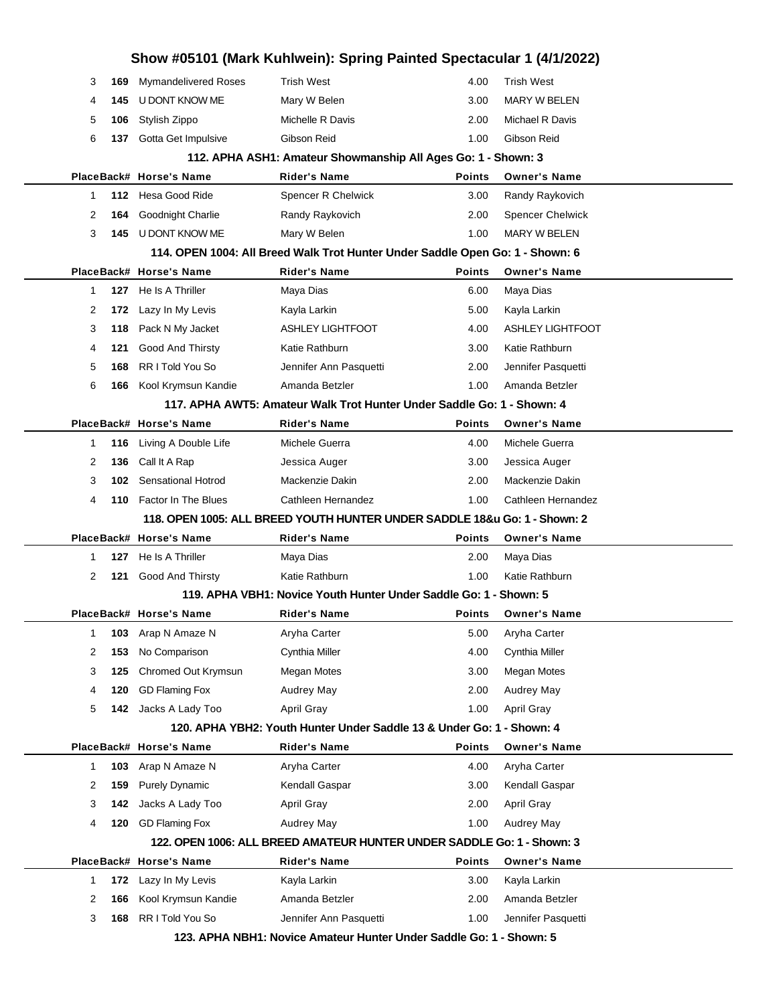|          |                             | Show #05101 (Mark Kuhlwein): Spring Painted Spectacular 1 (4/1/2022)          |               |                         |  |
|----------|-----------------------------|-------------------------------------------------------------------------------|---------------|-------------------------|--|
| 3<br>169 | <b>Mymandelivered Roses</b> | <b>Trish West</b>                                                             | 4.00          | <b>Trish West</b>       |  |
| 4<br>145 | U DONT KNOW ME              | Mary W Belen                                                                  | 3.00          | <b>MARY W BELEN</b>     |  |
| 5<br>106 | Stylish Zippo               | Michelle R Davis                                                              | 2.00          | Michael R Davis         |  |
| 6<br>137 | Gotta Get Impulsive         | Gibson Reid                                                                   | 1.00          | Gibson Reid             |  |
|          |                             | 112. APHA ASH1: Amateur Showmanship All Ages Go: 1 - Shown: 3                 |               |                         |  |
|          | PlaceBack# Horse's Name     | <b>Rider's Name</b>                                                           | <b>Points</b> | <b>Owner's Name</b>     |  |
| 1        | 112 Hesa Good Ride          | Spencer R Chelwick                                                            | 3.00          | Randy Raykovich         |  |
| 2<br>164 | Goodnight Charlie           | Randy Raykovich                                                               | 2.00          | <b>Spencer Chelwick</b> |  |
| 3<br>145 | U DONT KNOW ME              | Mary W Belen                                                                  | 1.00          | <b>MARY W BELEN</b>     |  |
|          |                             | 114. OPEN 1004: All Breed Walk Trot Hunter Under Saddle Open Go: 1 - Shown: 6 |               |                         |  |
|          | PlaceBack# Horse's Name     | <b>Rider's Name</b>                                                           | <b>Points</b> | <b>Owner's Name</b>     |  |
| 127<br>1 | He Is A Thriller            | Maya Dias                                                                     | 6.00          | Maya Dias               |  |
| 2<br>172 | Lazy In My Levis            | Kayla Larkin                                                                  | 5.00          | Kayla Larkin            |  |
| 3<br>118 | Pack N My Jacket            | <b>ASHLEY LIGHTFOOT</b>                                                       | 4.00          | <b>ASHLEY LIGHTFOOT</b> |  |
| 4<br>121 | <b>Good And Thirsty</b>     | Katie Rathburn                                                                | 3.00          | Katie Rathburn          |  |
| 5<br>168 | RR I Told You So            | Jennifer Ann Pasquetti                                                        | 2.00          | Jennifer Pasquetti      |  |
| 6<br>166 | Kool Krymsun Kandie         | Amanda Betzler                                                                | 1.00          | Amanda Betzler          |  |
|          |                             | 117. APHA AWT5: Amateur Walk Trot Hunter Under Saddle Go: 1 - Shown: 4        |               |                         |  |
|          | PlaceBack# Horse's Name     | <b>Rider's Name</b>                                                           | <b>Points</b> | <b>Owner's Name</b>     |  |
| 116<br>1 | Living A Double Life        | Michele Guerra                                                                | 4.00          | Michele Guerra          |  |
| 2<br>136 | Call It A Rap               | Jessica Auger                                                                 | 3.00          | Jessica Auger           |  |
| 3<br>102 | <b>Sensational Hotrod</b>   | Mackenzie Dakin                                                               | 2.00          | Mackenzie Dakin         |  |
| 4<br>110 | <b>Factor In The Blues</b>  | Cathleen Hernandez                                                            | 1.00          | Cathleen Hernandez      |  |
|          |                             | 118. OPEN 1005: ALL BREED YOUTH HUNTER UNDER SADDLE 18&u Go: 1 - Shown: 2     |               |                         |  |
|          | PlaceBack# Horse's Name     | <b>Rider's Name</b>                                                           | <b>Points</b> | <b>Owner's Name</b>     |  |
| 1<br>127 | He Is A Thriller            | Maya Dias                                                                     | 2.00          | Maya Dias               |  |
| 2<br>121 | <b>Good And Thirsty</b>     | Katie Rathburn                                                                | 1.00          | Katie Rathburn          |  |
|          |                             | 119. APHA VBH1: Novice Youth Hunter Under Saddle Go: 1 - Shown: 5             |               |                         |  |
|          | PlaceBack# Horse's Name     | <b>Rider's Name</b>                                                           | <b>Points</b> | <b>Owner's Name</b>     |  |
| 1<br>103 | Arap N Amaze N              | Aryha Carter                                                                  | 5.00          | Aryha Carter            |  |
| 2<br>153 | No Comparison               | Cynthia Miller                                                                | 4.00          | Cynthia Miller          |  |
| 3<br>125 | Chromed Out Krymsun         | Megan Motes                                                                   | 3.00          | Megan Motes             |  |
| 120<br>4 | <b>GD Flaming Fox</b>       | Audrey May                                                                    | 2.00          | Audrey May              |  |
| 5<br>142 | Jacks A Lady Too            | April Gray                                                                    | 1.00          | April Gray              |  |
|          |                             | 120. APHA YBH2: Youth Hunter Under Saddle 13 & Under Go: 1 - Shown: 4         |               |                         |  |
|          | PlaceBack# Horse's Name     | <b>Rider's Name</b>                                                           | <b>Points</b> | <b>Owner's Name</b>     |  |
| 1<br>103 | Arap N Amaze N              | Aryha Carter                                                                  | 4.00          | Aryha Carter            |  |
| 2<br>159 | <b>Purely Dynamic</b>       | Kendall Gaspar                                                                | 3.00          | Kendall Gaspar          |  |
| 3<br>142 | Jacks A Lady Too            | April Gray                                                                    | 2.00          | April Gray              |  |
| 4<br>120 | <b>GD Flaming Fox</b>       | Audrey May                                                                    | 1.00          | Audrey May              |  |
|          |                             | 122. OPEN 1006: ALL BREED AMATEUR HUNTER UNDER SADDLE Go: 1 - Shown: 3        |               |                         |  |
|          | PlaceBack# Horse's Name     | <b>Rider's Name</b>                                                           | <b>Points</b> | <b>Owner's Name</b>     |  |
| 172<br>1 | Lazy In My Levis            | Kayla Larkin                                                                  | 3.00          | Kayla Larkin            |  |
| 2<br>166 | Kool Krymsun Kandie         | Amanda Betzler                                                                | 2.00          | Amanda Betzler          |  |
| 3<br>168 | RR I Told You So            | Jennifer Ann Pasquetti                                                        | 1.00          | Jennifer Pasquetti      |  |
|          |                             | 123. APHA NBH1: Novice Amateur Hunter Under Saddle Go: 1 - Shown: 5           |               |                         |  |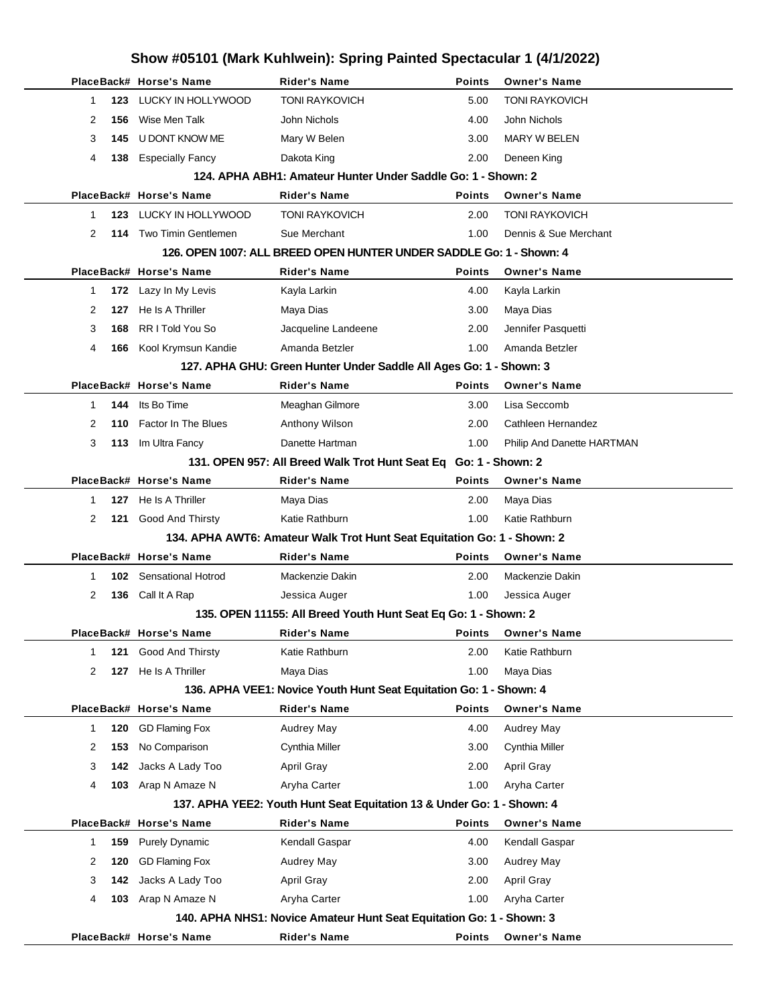|              |     | Show #05101 (Mark Kuhlwein): Spring Painted Spectacular 1 (4/1/2022) |                                                                         |               |                            |  |
|--------------|-----|----------------------------------------------------------------------|-------------------------------------------------------------------------|---------------|----------------------------|--|
|              |     | PlaceBack# Horse's Name                                              | <b>Rider's Name</b>                                                     | <b>Points</b> | <b>Owner's Name</b>        |  |
| $\mathbf{1}$ | 123 | LUCKY IN HOLLYWOOD                                                   | <b>TONI RAYKOVICH</b>                                                   | 5.00          | <b>TONI RAYKOVICH</b>      |  |
| 2            | 156 | Wise Men Talk                                                        | John Nichols                                                            | 4.00          | John Nichols               |  |
| 3            | 145 | U DONT KNOW ME                                                       | Mary W Belen                                                            | 3.00          | <b>MARY W BELEN</b>        |  |
| 4            | 138 | <b>Especially Fancy</b>                                              | Dakota King                                                             | 2.00          | Deneen King                |  |
|              |     |                                                                      | 124. APHA ABH1: Amateur Hunter Under Saddle Go: 1 - Shown: 2            |               |                            |  |
|              |     | PlaceBack# Horse's Name                                              | <b>Rider's Name</b>                                                     | <b>Points</b> | <b>Owner's Name</b>        |  |
| $\mathbf 1$  | 123 | LUCKY IN HOLLYWOOD                                                   | <b>TONI RAYKOVICH</b>                                                   | 2.00          | <b>TONI RAYKOVICH</b>      |  |
| 2            | 114 | Two Timin Gentlemen                                                  | Sue Merchant                                                            | 1.00          | Dennis & Sue Merchant      |  |
|              |     |                                                                      | 126. OPEN 1007: ALL BREED OPEN HUNTER UNDER SADDLE Go: 1 - Shown: 4     |               |                            |  |
|              |     | PlaceBack# Horse's Name                                              | <b>Rider's Name</b>                                                     | <b>Points</b> | <b>Owner's Name</b>        |  |
| $\mathbf{1}$ | 172 | Lazy In My Levis                                                     | Kayla Larkin                                                            | 4.00          | Kayla Larkin               |  |
| 2            | 127 | He Is A Thriller                                                     | Maya Dias                                                               | 3.00          | Maya Dias                  |  |
| 3            | 168 | RR I Told You So                                                     | Jacqueline Landeene                                                     | 2.00          | Jennifer Pasquetti         |  |
| 4            | 166 | Kool Krymsun Kandie                                                  | Amanda Betzler                                                          | 1.00          | Amanda Betzler             |  |
|              |     |                                                                      | 127. APHA GHU: Green Hunter Under Saddle All Ages Go: 1 - Shown: 3      |               |                            |  |
|              |     | PlaceBack# Horse's Name                                              | <b>Rider's Name</b>                                                     | <b>Points</b> | <b>Owner's Name</b>        |  |
| $\mathbf{1}$ | 144 | Its Bo Time                                                          | Meaghan Gilmore                                                         | 3.00          | Lisa Seccomb               |  |
| 2            | 110 | Factor In The Blues                                                  | Anthony Wilson                                                          | 2.00          | Cathleen Hernandez         |  |
| 3            | 113 | Im Ultra Fancy                                                       | Danette Hartman                                                         | 1.00          | Philip And Danette HARTMAN |  |
|              |     |                                                                      | 131. OPEN 957: All Breed Walk Trot Hunt Seat Eq Go: 1 - Shown: 2        |               |                            |  |
|              |     | PlaceBack# Horse's Name                                              | <b>Rider's Name</b>                                                     | <b>Points</b> | <b>Owner's Name</b>        |  |
| 1            | 127 | He Is A Thriller                                                     | Maya Dias                                                               | 2.00          | Maya Dias                  |  |
| 2            | 121 | Good And Thirsty                                                     | Katie Rathburn                                                          | 1.00          | Katie Rathburn             |  |
|              |     |                                                                      | 134. APHA AWT6: Amateur Walk Trot Hunt Seat Equitation Go: 1 - Shown: 2 |               |                            |  |
|              |     | PlaceBack# Horse's Name                                              | <b>Rider's Name</b>                                                     | <b>Points</b> | <b>Owner's Name</b>        |  |
| 1            | 102 | <b>Sensational Hotrod</b>                                            | Mackenzie Dakin                                                         | 2.00          | Mackenzie Dakin            |  |
| 2            | 136 | Call It A Rap                                                        | Jessica Auger                                                           | 1.00          | Jessica Auger              |  |
|              |     |                                                                      | 135. OPEN 11155: All Breed Youth Hunt Seat Eq Go: 1 - Shown: 2          |               |                            |  |
|              |     | PlaceBack# Horse's Name                                              | <b>Rider's Name</b>                                                     | <b>Points</b> | <b>Owner's Name</b>        |  |
| $\mathbf 1$  | 121 | Good And Thirsty                                                     | Katie Rathburn                                                          | 2.00          | Katie Rathburn             |  |
| 2            | 127 | He Is A Thriller                                                     | Maya Dias                                                               | 1.00          | Maya Dias                  |  |
|              |     |                                                                      | 136. APHA VEE1: Novice Youth Hunt Seat Equitation Go: 1 - Shown: 4      |               |                            |  |
|              |     | PlaceBack# Horse's Name                                              | <b>Rider's Name</b>                                                     | <b>Points</b> | <b>Owner's Name</b>        |  |
| $\mathbf{1}$ | 120 | <b>GD Flaming Fox</b>                                                | Audrey May                                                              | 4.00          | Audrey May                 |  |
| 2            | 153 | No Comparison                                                        | Cynthia Miller                                                          | 3.00          | Cynthia Miller             |  |
| 3            | 142 | Jacks A Lady Too                                                     | April Gray                                                              | 2.00          | <b>April Gray</b>          |  |
| 4            | 103 | Arap N Amaze N                                                       | Aryha Carter                                                            | 1.00          | Aryha Carter               |  |
|              |     |                                                                      | 137. APHA YEE2: Youth Hunt Seat Equitation 13 & Under Go: 1 - Shown: 4  |               |                            |  |
|              |     | PlaceBack# Horse's Name                                              | <b>Rider's Name</b>                                                     | <b>Points</b> | <b>Owner's Name</b>        |  |
| -1           | 159 | <b>Purely Dynamic</b>                                                | Kendall Gaspar                                                          | 4.00          | Kendall Gaspar             |  |
| 2            | 120 | <b>GD Flaming Fox</b>                                                | Audrey May                                                              | 3.00          | Audrey May                 |  |
| 3            | 142 | Jacks A Lady Too                                                     | April Gray                                                              | 2.00          | <b>April Gray</b>          |  |
| 4            | 103 | Arap N Amaze N                                                       | Aryha Carter                                                            | 1.00          | Aryha Carter               |  |
|              |     |                                                                      | 140. APHA NHS1: Novice Amateur Hunt Seat Equitation Go: 1 - Shown: 3    |               |                            |  |
|              |     | PlaceBack# Horse's Name                                              | <b>Rider's Name</b>                                                     | <b>Points</b> | <b>Owner's Name</b>        |  |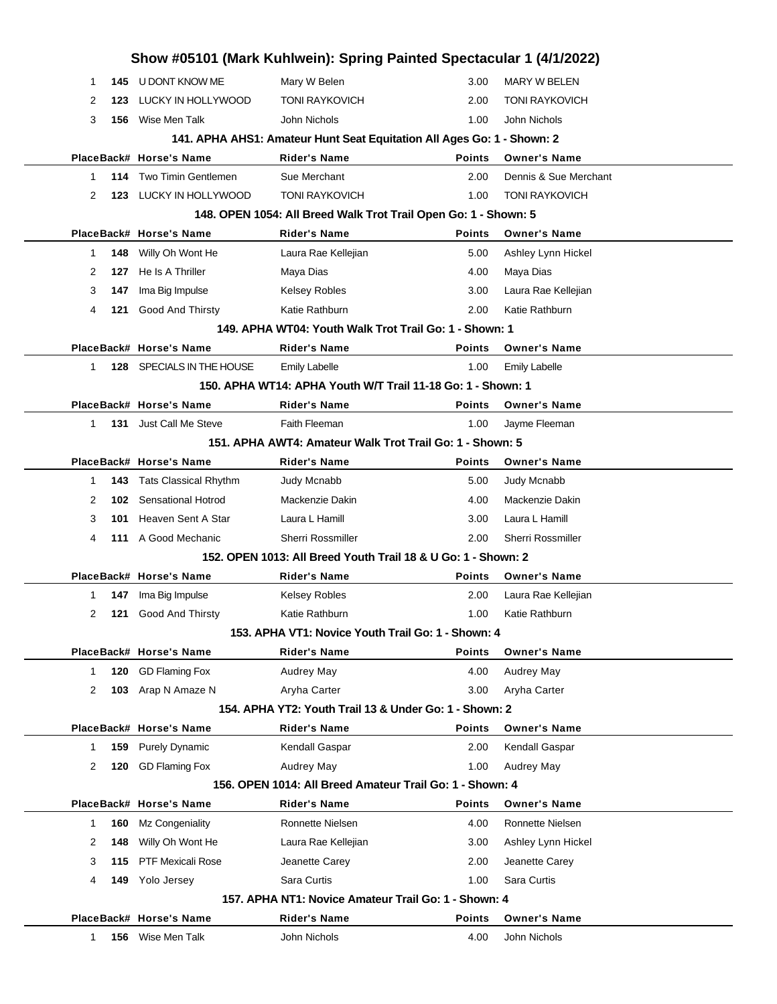|                     |                               | Show #05101 (Mark Kuhlwein): Spring Painted Spectacular 1 (4/1/2022)   |               |                         |
|---------------------|-------------------------------|------------------------------------------------------------------------|---------------|-------------------------|
| -1                  | U DONT KNOW ME<br>145         | Mary W Belen                                                           | 3.00          | <b>MARY W BELEN</b>     |
| 2<br>123            | LUCKY IN HOLLYWOOD            | <b>TONI RAYKOVICH</b>                                                  | 2.00          | <b>TONI RAYKOVICH</b>   |
| 3<br>156            | Wise Men Talk                 | John Nichols                                                           | 1.00          | John Nichols            |
|                     |                               | 141. APHA AHS1: Amateur Hunt Seat Equitation All Ages Go: 1 - Shown: 2 |               |                         |
|                     | PlaceBack# Horse's Name       | <b>Rider's Name</b>                                                    | <b>Points</b> | <b>Owner's Name</b>     |
| 114<br>1            | <b>Two Timin Gentlemen</b>    | Sue Merchant                                                           | 2.00          | Dennis & Sue Merchant   |
| 2<br>123            | LUCKY IN HOLLYWOOD            | <b>TONI RAYKOVICH</b>                                                  | 1.00          | <b>TONI RAYKOVICH</b>   |
|                     |                               | 148. OPEN 1054: All Breed Walk Trot Trail Open Go: 1 - Shown: 5        |               |                         |
|                     | PlaceBack# Horse's Name       | <b>Rider's Name</b>                                                    | <b>Points</b> | <b>Owner's Name</b>     |
| 148<br>1            | Willy Oh Wont He              | Laura Rae Kellejian                                                    | 5.00          | Ashley Lynn Hickel      |
| 2<br>127            | He Is A Thriller              | Maya Dias                                                              | 4.00          | Maya Dias               |
| 3<br>147            | Ima Big Impulse               | Kelsey Robles                                                          | 3.00          | Laura Rae Kellejian     |
| 4<br>121            | Good And Thirsty              | Katie Rathburn                                                         | 2.00          | Katie Rathburn          |
|                     |                               | 149. APHA WT04: Youth Walk Trot Trail Go: 1 - Shown: 1                 |               |                         |
|                     | PlaceBack# Horse's Name       | <b>Rider's Name</b>                                                    | <b>Points</b> | <b>Owner's Name</b>     |
| $\mathbf 1$         | 128 SPECIALS IN THE HOUSE     | <b>Emily Labelle</b>                                                   | 1.00          | <b>Emily Labelle</b>    |
|                     |                               | 150. APHA WT14: APHA Youth W/T Trail 11-18 Go: 1 - Shown: 1            |               |                         |
|                     | PlaceBack# Horse's Name       | <b>Rider's Name</b>                                                    | <b>Points</b> | <b>Owner's Name</b>     |
| $\mathbf{1}$        | <b>131</b> Just Call Me Steve | <b>Faith Fleeman</b>                                                   | 1.00          | Jayme Fleeman           |
|                     |                               | 151. APHA AWT4: Amateur Walk Trot Trail Go: 1 - Shown: 5               |               |                         |
|                     | PlaceBack# Horse's Name       | <b>Rider's Name</b>                                                    | <b>Points</b> | <b>Owner's Name</b>     |
| 1<br>143            | <b>Tats Classical Rhythm</b>  | <b>Judy Mcnabb</b>                                                     | 5.00          | Judy Mcnabb             |
| 2<br>102            | <b>Sensational Hotrod</b>     | Mackenzie Dakin                                                        | 4.00          | Mackenzie Dakin         |
| 3<br>101            | Heaven Sent A Star            | Laura L Hamill                                                         | 3.00          | Laura L Hamill          |
| 4                   | 111 A Good Mechanic           | <b>Sherri Rossmiller</b>                                               | 2.00          | Sherri Rossmiller       |
|                     |                               | 152, OPEN 1013: All Breed Youth Trail 18 & U Go: 1 - Shown: 2          |               |                         |
|                     | PlaceBack# Horse's Name       | <b>Rider's Name</b>                                                    | <b>Points</b> | <b>Owner's Name</b>     |
| 1<br>147            | Ima Big Impulse               | Kelsey Robles                                                          | 2.00          | Laura Rae Kellejian     |
| 2                   | Good And Thirsty<br>121       | Katie Rathburn                                                         | 1.00          | Katie Rathburn          |
|                     |                               | 153. APHA VT1: Novice Youth Trail Go: 1 - Shown: 4                     |               |                         |
|                     | PlaceBack# Horse's Name       | <b>Rider's Name</b>                                                    | <b>Points</b> | <b>Owner's Name</b>     |
| $\mathbf{1}$<br>120 | <b>GD Flaming Fox</b>         | Audrey May                                                             | 4.00          | Audrey May              |
| 2<br>103            | Arap N Amaze N                | Aryha Carter                                                           | 3.00          | Aryha Carter            |
|                     |                               | 154. APHA YT2: Youth Trail 13 & Under Go: 1 - Shown: 2                 |               |                         |
|                     | PlaceBack# Horse's Name       | <b>Rider's Name</b>                                                    | <b>Points</b> | <b>Owner's Name</b>     |
| $\mathbf{1}$<br>159 | <b>Purely Dynamic</b>         | Kendall Gaspar                                                         | 2.00          | Kendall Gaspar          |
| 2<br>120            | <b>GD Flaming Fox</b>         | Audrey May                                                             | 1.00          | Audrey May              |
|                     |                               | 156, OPEN 1014: All Breed Amateur Trail Go: 1 - Shown: 4               |               |                         |
|                     | PlaceBack# Horse's Name       | <b>Rider's Name</b>                                                    | <b>Points</b> | <b>Owner's Name</b>     |
| $\mathbf{1}$<br>160 | Mz Congeniality               | Ronnette Nielsen                                                       | 4.00          | <b>Ronnette Nielsen</b> |
| 2<br>148            | Willy Oh Wont He              | Laura Rae Kellejian                                                    | 3.00          | Ashley Lynn Hickel      |
| 3<br>115            | <b>PTF Mexicali Rose</b>      | Jeanette Carey                                                         | 2.00          | Jeanette Carey          |
| 4<br>149            | Yolo Jersey                   | Sara Curtis                                                            | 1.00          | Sara Curtis             |
|                     |                               | 157. APHA NT1: Novice Amateur Trail Go: 1 - Shown: 4                   |               |                         |
|                     |                               |                                                                        |               |                         |
|                     | PlaceBack# Horse's Name       | <b>Rider's Name</b>                                                    | <b>Points</b> | <b>Owner's Name</b>     |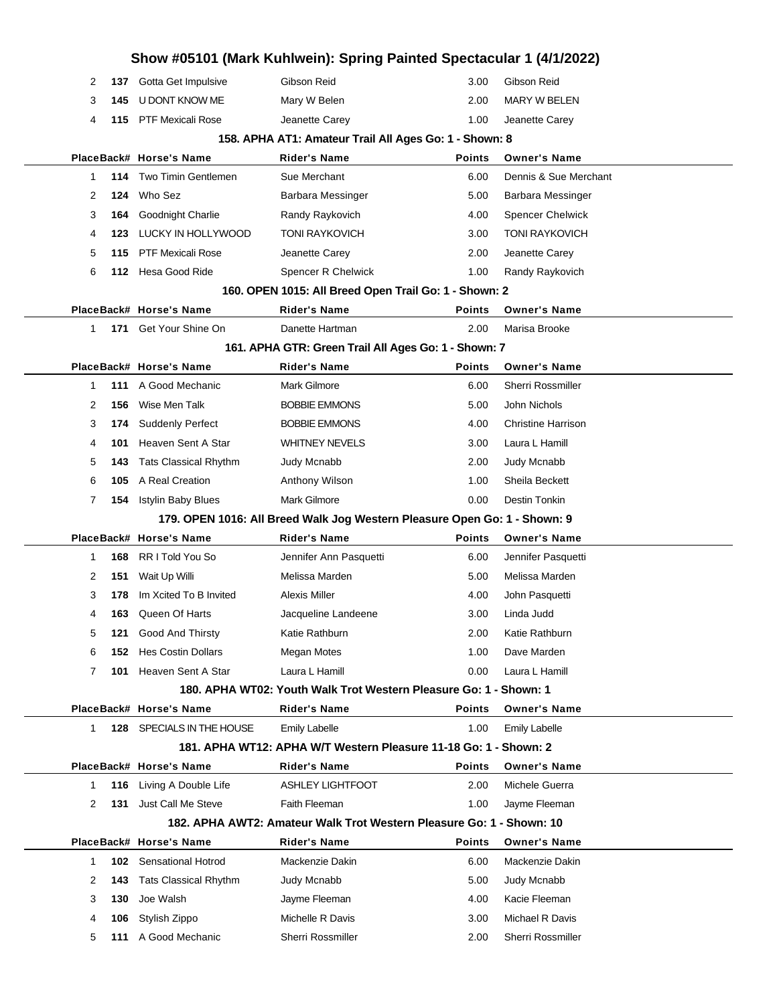|              |     |                              | Show #05101 (Mark Kuhlwein): Spring Painted Spectacular 1 (4/1/2022)      |               |                           |  |
|--------------|-----|------------------------------|---------------------------------------------------------------------------|---------------|---------------------------|--|
| 2            | 137 | Gotta Get Impulsive          | Gibson Reid                                                               | 3.00          | Gibson Reid               |  |
| 3            | 145 | U DONT KNOW ME               | Mary W Belen                                                              | 2.00          | MARY W BELEN              |  |
| 4            |     | 115 PTF Mexicali Rose        | Jeanette Carey                                                            | 1.00          | Jeanette Carey            |  |
|              |     |                              | 158. APHA AT1: Amateur Trail All Ages Go: 1 - Shown: 8                    |               |                           |  |
|              |     | PlaceBack# Horse's Name      | Rider's Name                                                              | Points        | <b>Owner's Name</b>       |  |
| 1            | 114 | Two Timin Gentlemen          | Sue Merchant                                                              | 6.00          | Dennis & Sue Merchant     |  |
| 2            | 124 | Who Sez                      | Barbara Messinger                                                         | 5.00          | Barbara Messinger         |  |
| 3            | 164 | Goodnight Charlie            | Randy Raykovich                                                           | 4.00          | <b>Spencer Chelwick</b>   |  |
| 4            | 123 | LUCKY IN HOLLYWOOD           | <b>TONI RAYKOVICH</b>                                                     | 3.00          | <b>TONI RAYKOVICH</b>     |  |
| 5            | 115 | <b>PTF Mexicali Rose</b>     | Jeanette Carey                                                            | 2.00          | Jeanette Carey            |  |
| 6            |     | 112 Hesa Good Ride           | Spencer R Chelwick                                                        | 1.00          | Randy Raykovich           |  |
|              |     |                              | 160. OPEN 1015: All Breed Open Trail Go: 1 - Shown: 2                     |               |                           |  |
|              |     | PlaceBack# Horse's Name      | Rider's Name                                                              | Points        | <b>Owner's Name</b>       |  |
| $\mathbf{1}$ | 171 | Get Your Shine On            | Danette Hartman                                                           | 2.00          | Marisa Brooke             |  |
|              |     |                              | 161. APHA GTR: Green Trail All Ages Go: 1 - Shown: 7                      |               |                           |  |
|              |     | PlaceBack# Horse's Name      | Rider's Name                                                              | Points        | <b>Owner's Name</b>       |  |
| 1            | 111 | A Good Mechanic              | Mark Gilmore                                                              | 6.00          | Sherri Rossmiller         |  |
| 2            | 156 | Wise Men Talk                | <b>BOBBIE EMMONS</b>                                                      | 5.00          | John Nichols              |  |
| 3            | 174 | <b>Suddenly Perfect</b>      | <b>BOBBIE EMMONS</b>                                                      | 4.00          | <b>Christine Harrison</b> |  |
| 4            | 101 | Heaven Sent A Star           | <b>WHITNEY NEVELS</b>                                                     | 3.00          | Laura L Hamill            |  |
| 5            | 143 | <b>Tats Classical Rhythm</b> | Judy Mcnabb                                                               | 2.00          | Judy Mcnabb               |  |
| 6            | 105 | A Real Creation              | Anthony Wilson                                                            | 1.00          | Sheila Beckett            |  |
| 7            | 154 | <b>Istylin Baby Blues</b>    | Mark Gilmore                                                              | 0.00          | Destin Tonkin             |  |
|              |     |                              | 179. OPEN 1016: All Breed Walk Jog Western Pleasure Open Go: 1 - Shown: 9 |               |                           |  |
|              |     | PlaceBack# Horse's Name      | Rider's Name                                                              | Points        | <b>Owner's Name</b>       |  |
| 1            | 168 | RR I Told You So             | Jennifer Ann Pasquetti                                                    | 6.00          | Jennifer Pasquetti        |  |
| 2            | 151 | Wait Up Willi                | Melissa Marden                                                            | 5.00          | Melissa Marden            |  |
| 3            | 178 | Im Xcited To B Invited       | <b>Alexis Miller</b>                                                      | 4.00          | John Pasquetti            |  |
| 4            | 163 | Queen Of Harts               | Jacqueline Landeene                                                       | 3.00          | Linda Judd                |  |
| 5            | 121 | <b>Good And Thirsty</b>      | Katie Rathburn                                                            | 2.00          | Katie Rathburn            |  |
| 6            | 152 | <b>Hes Costin Dollars</b>    | Megan Motes                                                               | 1.00          | Dave Marden               |  |
| 7            | 101 | Heaven Sent A Star           | Laura L Hamill                                                            | 0.00          | Laura L Hamill            |  |
|              |     |                              | 180. APHA WT02: Youth Walk Trot Western Pleasure Go: 1 - Shown: 1         |               |                           |  |
|              |     | PlaceBack# Horse's Name      | <b>Rider's Name</b>                                                       | <b>Points</b> | <b>Owner's Name</b>       |  |
| $\mathbf 1$  |     | 128 SPECIALS IN THE HOUSE    | <b>Emily Labelle</b>                                                      | 1.00          | <b>Emily Labelle</b>      |  |
|              |     |                              | 181. APHA WT12: APHA W/T Western Pleasure 11-18 Go: 1 - Shown: 2          |               |                           |  |
|              |     | PlaceBack# Horse's Name      | <b>Rider's Name</b>                                                       | Points        | <b>Owner's Name</b>       |  |
| 1            | 116 | Living A Double Life         | <b>ASHLEY LIGHTFOOT</b>                                                   | 2.00          | Michele Guerra            |  |
| 2            | 131 | Just Call Me Steve           | Faith Fleeman                                                             | 1.00          | Jayme Fleeman             |  |
|              |     |                              | 182. APHA AWT2: Amateur Walk Trot Western Pleasure Go: 1 - Shown: 10      |               |                           |  |
|              |     | PlaceBack# Horse's Name      | <b>Rider's Name</b>                                                       | Points        | <b>Owner's Name</b>       |  |
| 1            | 102 | <b>Sensational Hotrod</b>    | Mackenzie Dakin                                                           | 6.00          | Mackenzie Dakin           |  |
| 2            | 143 | <b>Tats Classical Rhythm</b> | Judy Mcnabb                                                               | 5.00          | Judy Mcnabb               |  |
| 3            | 130 | Joe Walsh                    | Jayme Fleeman                                                             | 4.00          | Kacie Fleeman             |  |
| 4            | 106 | Stylish Zippo                | Michelle R Davis                                                          | 3.00          | Michael R Davis           |  |
| 5            | 111 | A Good Mechanic              | Sherri Rossmiller                                                         | 2.00          | Sherri Rossmiller         |  |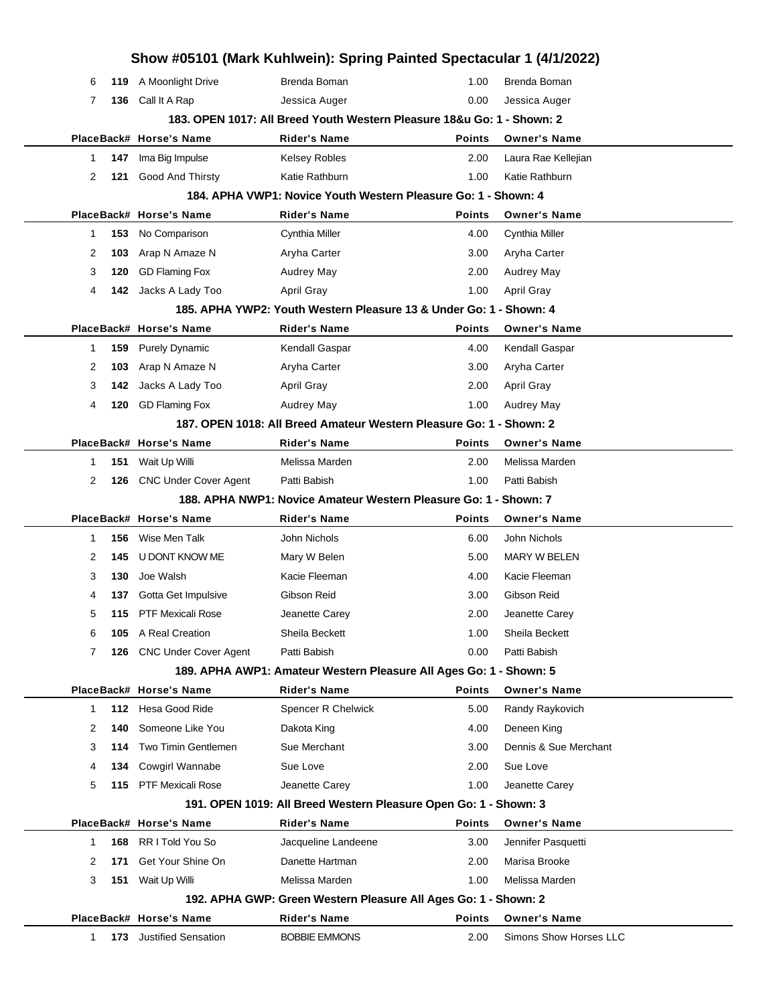| Show #05101 (Mark Kuhlwein): Spring Painted Spectacular 1 (4/1/2022) |     |                              |                                                                        |               |                        |  |  |
|----------------------------------------------------------------------|-----|------------------------------|------------------------------------------------------------------------|---------------|------------------------|--|--|
| 6                                                                    | 119 | A Moonlight Drive            | Brenda Boman                                                           | 1.00          | Brenda Boman           |  |  |
| 7                                                                    | 136 | Call It A Rap                | Jessica Auger                                                          | 0.00          | Jessica Auger          |  |  |
|                                                                      |     |                              | 183. OPEN 1017: All Breed Youth Western Pleasure 18&u Go: 1 - Shown: 2 |               |                        |  |  |
|                                                                      |     | PlaceBack# Horse's Name      | <b>Rider's Name</b>                                                    | <b>Points</b> | <b>Owner's Name</b>    |  |  |
| 1                                                                    | 147 | Ima Big Impulse              | <b>Kelsey Robles</b>                                                   | 2.00          | Laura Rae Kellejian    |  |  |
| 2                                                                    | 121 | Good And Thirsty             | Katie Rathburn                                                         | 1.00          | Katie Rathburn         |  |  |
|                                                                      |     |                              | 184. APHA VWP1: Novice Youth Western Pleasure Go: 1 - Shown: 4         |               |                        |  |  |
|                                                                      |     | PlaceBack# Horse's Name      | <b>Rider's Name</b>                                                    | <b>Points</b> | <b>Owner's Name</b>    |  |  |
| 1                                                                    | 153 | No Comparison                | Cynthia Miller                                                         | 4.00          | Cynthia Miller         |  |  |
| 2                                                                    | 103 | Arap N Amaze N               | Aryha Carter                                                           | 3.00          | Aryha Carter           |  |  |
| 3                                                                    | 120 | <b>GD Flaming Fox</b>        | <b>Audrey May</b>                                                      | 2.00          | Audrey May             |  |  |
| 4                                                                    | 142 | Jacks A Lady Too             | April Gray                                                             | 1.00          | <b>April Gray</b>      |  |  |
|                                                                      |     |                              | 185. APHA YWP2: Youth Western Pleasure 13 & Under Go: 1 - Shown: 4     |               |                        |  |  |
|                                                                      |     | PlaceBack# Horse's Name      | <b>Rider's Name</b>                                                    | <b>Points</b> | <b>Owner's Name</b>    |  |  |
| 1                                                                    | 159 | <b>Purely Dynamic</b>        | Kendall Gaspar                                                         | 4.00          | Kendall Gaspar         |  |  |
| 2                                                                    | 103 | Arap N Amaze N               | Aryha Carter                                                           | 3.00          | Aryha Carter           |  |  |
| 3                                                                    | 142 | Jacks A Lady Too             | <b>April Gray</b>                                                      | 2.00          | <b>April Gray</b>      |  |  |
| 4                                                                    | 120 | <b>GD Flaming Fox</b>        | <b>Audrey May</b>                                                      | 1.00          | Audrey May             |  |  |
|                                                                      |     |                              | 187, OPEN 1018: All Breed Amateur Western Pleasure Go: 1 - Shown: 2    |               |                        |  |  |
|                                                                      |     | PlaceBack# Horse's Name      | <b>Rider's Name</b>                                                    | <b>Points</b> | <b>Owner's Name</b>    |  |  |
| 1                                                                    | 151 | Wait Up Willi                | Melissa Marden                                                         | 2.00          | Melissa Marden         |  |  |
| $\overline{2}$                                                       | 126 | <b>CNC Under Cover Agent</b> | Patti Babish                                                           | 1.00          | Patti Babish           |  |  |
|                                                                      |     |                              | 188. APHA NWP1: Novice Amateur Western Pleasure Go: 1 - Shown: 7       |               |                        |  |  |
|                                                                      |     | PlaceBack# Horse's Name      | <b>Rider's Name</b>                                                    | <b>Points</b> | <b>Owner's Name</b>    |  |  |
| 1                                                                    | 156 | Wise Men Talk                | John Nichols                                                           | 6.00          | John Nichols           |  |  |
| 2                                                                    | 145 | U DONT KNOW ME               | Mary W Belen                                                           | 5.00          | MARY W BELEN           |  |  |
| 3                                                                    | 130 | Joe Walsh                    | Kacie Fleeman                                                          | 4.00          | Kacie Fleeman          |  |  |
| 4                                                                    | 137 | Gotta Get Impulsive          | Gibson Reid                                                            | 3.00          | Gibson Reid            |  |  |
| 5                                                                    | 115 | PTF Mexicali Rose            | Jeanette Carey                                                         | 2.00          | Jeanette Carey         |  |  |
| 6                                                                    | 105 | A Real Creation              | Sheila Beckett                                                         | 1.00          | Sheila Beckett         |  |  |
| 7                                                                    | 126 | <b>CNC Under Cover Agent</b> | Patti Babish                                                           | 0.00          | Patti Babish           |  |  |
|                                                                      |     |                              | 189. APHA AWP1: Amateur Western Pleasure All Ages Go: 1 - Shown: 5     |               |                        |  |  |
|                                                                      |     | PlaceBack# Horse's Name      | <b>Rider's Name</b>                                                    | <b>Points</b> | <b>Owner's Name</b>    |  |  |
| 1                                                                    | 112 | Hesa Good Ride               | Spencer R Chelwick                                                     | 5.00          | Randy Raykovich        |  |  |
| 2                                                                    | 140 | Someone Like You             | Dakota King                                                            | 4.00          | Deneen King            |  |  |
| 3                                                                    | 114 | Two Timin Gentlemen          | Sue Merchant                                                           | 3.00          | Dennis & Sue Merchant  |  |  |
| 4                                                                    | 134 | Cowgirl Wannabe              | Sue Love                                                               | 2.00          | Sue Love               |  |  |
| 5                                                                    | 115 | <b>PTF Mexicali Rose</b>     | Jeanette Carey                                                         | 1.00          | Jeanette Carey         |  |  |
|                                                                      |     |                              | 191. OPEN 1019: All Breed Western Pleasure Open Go: 1 - Shown: 3       |               |                        |  |  |
|                                                                      |     | PlaceBack# Horse's Name      | <b>Rider's Name</b>                                                    | <b>Points</b> | <b>Owner's Name</b>    |  |  |
| 1                                                                    | 168 | RR I Told You So             | Jacqueline Landeene                                                    | 3.00          | Jennifer Pasquetti     |  |  |
| 2                                                                    | 171 | Get Your Shine On            | Danette Hartman                                                        | 2.00          | Marisa Brooke          |  |  |
| 3                                                                    | 151 | Wait Up Willi                | Melissa Marden                                                         | 1.00          | Melissa Marden         |  |  |
|                                                                      |     |                              | 192. APHA GWP: Green Western Pleasure All Ages Go: 1 - Shown: 2        |               |                        |  |  |
|                                                                      |     | PlaceBack# Horse's Name      | <b>Rider's Name</b>                                                    | <b>Points</b> | <b>Owner's Name</b>    |  |  |
| 1                                                                    |     | 173 Justified Sensation      | <b>BOBBIE EMMONS</b>                                                   | 2.00          | Simons Show Horses LLC |  |  |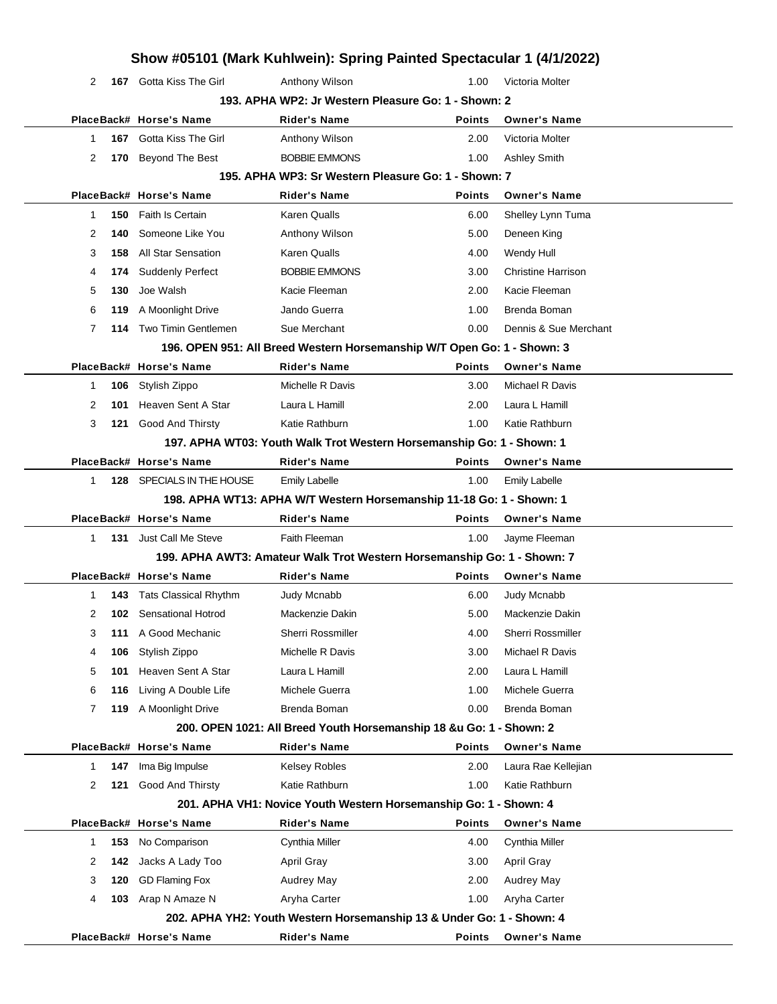|              |       | Show #05101 (Mark Kuhlwein): Spring Painted Spectacular 1 (4/1/2022) |                                                                         |               |                           |  |
|--------------|-------|----------------------------------------------------------------------|-------------------------------------------------------------------------|---------------|---------------------------|--|
| 2            |       | 167 Gotta Kiss The Girl                                              | Anthony Wilson                                                          | 1.00          | Victoria Molter           |  |
|              |       |                                                                      | 193. APHA WP2: Jr Western Pleasure Go: 1 - Shown: 2                     |               |                           |  |
|              |       | PlaceBack# Horse's Name                                              | <b>Rider's Name</b>                                                     | <b>Points</b> | <b>Owner's Name</b>       |  |
| 1            |       | <b>167</b> Gotta Kiss The Girl                                       | Anthony Wilson                                                          | 2.00          | Victoria Molter           |  |
| 2            | 170   | <b>Beyond The Best</b>                                               | <b>BOBBIE EMMONS</b>                                                    | 1.00          | <b>Ashley Smith</b>       |  |
|              |       |                                                                      | 195. APHA WP3: Sr Western Pleasure Go: 1 - Shown: 7                     |               |                           |  |
|              |       | PlaceBack# Horse's Name                                              | <b>Rider's Name</b>                                                     | <b>Points</b> | <b>Owner's Name</b>       |  |
| 1            |       | 150 Faith Is Certain                                                 | <b>Karen Qualls</b>                                                     | 6.00          | Shelley Lynn Tuma         |  |
| 2            | 140   | Someone Like You                                                     | Anthony Wilson                                                          | 5.00          | Deneen King               |  |
| 3            | 158   | <b>All Star Sensation</b>                                            | <b>Karen Qualls</b>                                                     | 4.00          | Wendy Hull                |  |
| 4            | 174   | <b>Suddenly Perfect</b>                                              | <b>BOBBIE EMMONS</b>                                                    | 3.00          | <b>Christine Harrison</b> |  |
| 5            | 130   | Joe Walsh                                                            | Kacie Fleeman                                                           | 2.00          | Kacie Fleeman             |  |
| 6            | 119   | A Moonlight Drive                                                    | Jando Guerra                                                            | 1.00          | Brenda Boman              |  |
| 7            | 114   | Two Timin Gentlemen                                                  | Sue Merchant                                                            | 0.00          | Dennis & Sue Merchant     |  |
|              |       |                                                                      | 196. OPEN 951: All Breed Western Horsemanship W/T Open Go: 1 - Shown: 3 |               |                           |  |
|              |       | PlaceBack# Horse's Name                                              | <b>Rider's Name</b>                                                     | <b>Points</b> | <b>Owner's Name</b>       |  |
| 1            | 106   | Stylish Zippo                                                        | Michelle R Davis                                                        | 3.00          | Michael R Davis           |  |
| 2            | 101   | Heaven Sent A Star                                                   | Laura L Hamill                                                          | 2.00          | Laura L Hamill            |  |
| 3            | 121   | <b>Good And Thirsty</b>                                              | Katie Rathburn                                                          | 1.00          | Katie Rathburn            |  |
|              |       |                                                                      | 197. APHA WT03: Youth Walk Trot Western Horsemanship Go: 1 - Shown: 1   |               |                           |  |
|              |       | PlaceBack# Horse's Name                                              | <b>Rider's Name</b>                                                     | <b>Points</b> | <b>Owner's Name</b>       |  |
| 1            |       | 128 SPECIALS IN THE HOUSE                                            | <b>Emily Labelle</b>                                                    | 1.00          | <b>Emily Labelle</b>      |  |
|              |       |                                                                      | 198. APHA WT13: APHA W/T Western Horsemanship 11-18 Go: 1 - Shown: 1    |               |                           |  |
|              |       | PlaceBack# Horse's Name                                              | <b>Rider's Name</b>                                                     | <b>Points</b> | <b>Owner's Name</b>       |  |
| 1            |       | 131 Just Call Me Steve                                               | Faith Fleeman                                                           | 1.00          | Jayme Fleeman             |  |
|              |       |                                                                      | 199. APHA AWT3: Amateur Walk Trot Western Horsemanship Go: 1 - Shown: 7 |               |                           |  |
|              |       | PlaceBack# Horse's Name                                              | <b>Rider's Name</b>                                                     | <b>Points</b> | <b>Owner's Name</b>       |  |
| 1            | 143.  | <b>Tats Classical Rhythm</b>                                         | Judy Mcnabb                                                             | 6.00          | <b>Judy Mcnabb</b>        |  |
| 2            |       | <b>102</b> Sensational Hotrod                                        | Mackenzie Dakin                                                         | 5.00          | Mackenzie Dakin           |  |
| 3            | 111   | A Good Mechanic                                                      | Sherri Rossmiller                                                       | 4.00          | Sherri Rossmiller         |  |
| 4            | 106   | Stylish Zippo                                                        | Michelle R Davis                                                        | 3.00          | Michael R Davis           |  |
| 5            | 101   | Heaven Sent A Star                                                   | Laura L Hamill                                                          | 2.00          | Laura L Hamill            |  |
| 6            | 116   | Living A Double Life                                                 | Michele Guerra                                                          | 1.00          | Michele Guerra            |  |
| 7            | 119   | A Moonlight Drive                                                    | Brenda Boman                                                            | 0.00          | Brenda Boman              |  |
|              |       |                                                                      | 200. OPEN 1021: All Breed Youth Horsemanship 18 &u Go: 1 - Shown: 2     |               |                           |  |
|              |       | PlaceBack# Horse's Name                                              | <b>Rider's Name</b>                                                     | <b>Points</b> | <b>Owner's Name</b>       |  |
| $\mathbf{1}$ | 147   | Ima Big Impulse                                                      | <b>Kelsey Robles</b>                                                    | 2.00          | Laura Rae Kellejian       |  |
| 2            | 121   | Good And Thirsty                                                     | Katie Rathburn                                                          | 1.00          | Katie Rathburn            |  |
|              |       |                                                                      | 201. APHA VH1: Novice Youth Western Horsemanship Go: 1 - Shown: 4       |               |                           |  |
|              |       | PlaceBack# Horse's Name                                              | <b>Rider's Name</b>                                                     | <b>Points</b> | <b>Owner's Name</b>       |  |
| $\mathbf{1}$ | 153   | No Comparison                                                        | Cynthia Miller                                                          | 4.00          | Cynthia Miller            |  |
| 2            | 142   | Jacks A Lady Too                                                     | <b>April Gray</b>                                                       | 3.00          | <b>April Gray</b>         |  |
| 3            | 120   | <b>GD Flaming Fox</b>                                                | <b>Audrey May</b>                                                       | 2.00          | <b>Audrey May</b>         |  |
| 4            | 103 - | Arap N Amaze N                                                       | Aryha Carter                                                            | 1.00          | Aryha Carter              |  |
|              |       |                                                                      | 202. APHA YH2: Youth Western Horsemanship 13 & Under Go: 1 - Shown: 4   |               |                           |  |
|              |       | PlaceBack# Horse's Name                                              | <b>Rider's Name</b>                                                     | Points        | <b>Owner's Name</b>       |  |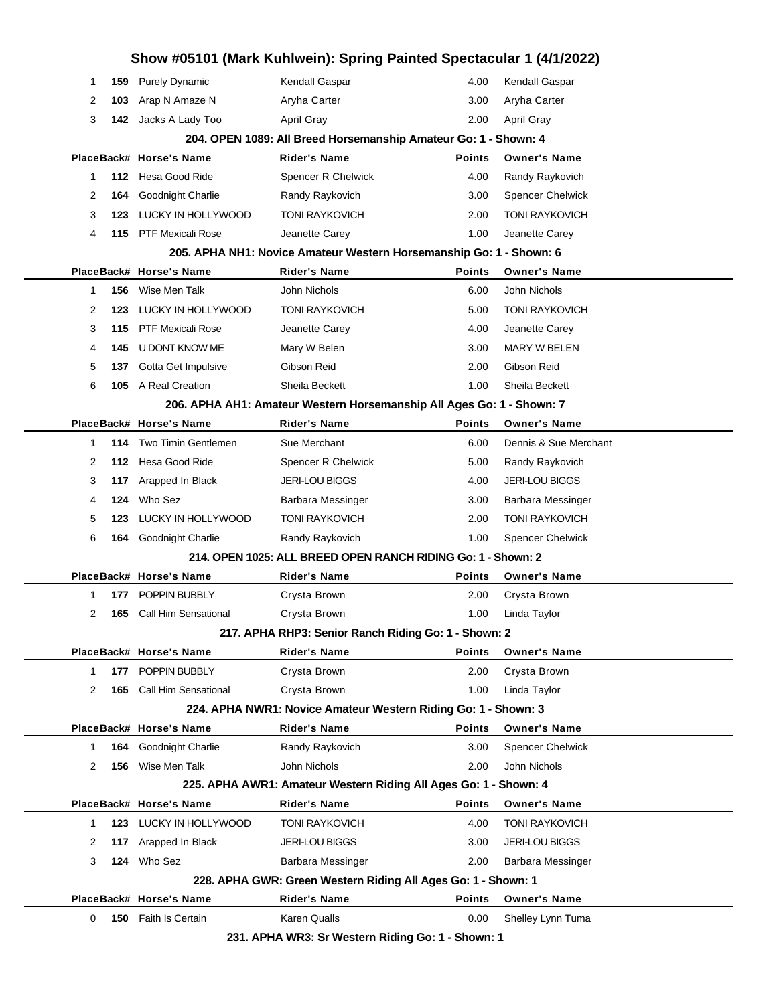| Show #05101 (Mark Kuhlwein): Spring Painted Spectacular 1 (4/1/2022) |     |                                 |                                                                       |               |                         |  |  |  |
|----------------------------------------------------------------------|-----|---------------------------------|-----------------------------------------------------------------------|---------------|-------------------------|--|--|--|
| 1                                                                    | 159 | <b>Purely Dynamic</b>           | Kendall Gaspar                                                        | 4.00          | Kendall Gaspar          |  |  |  |
| 2                                                                    | 103 | Arap N Amaze N                  | Aryha Carter                                                          | 3.00          | Aryha Carter            |  |  |  |
| 3                                                                    | 142 | Jacks A Lady Too                | April Gray                                                            | 2.00          | <b>April Gray</b>       |  |  |  |
|                                                                      |     |                                 | 204. OPEN 1089: All Breed Horsemanship Amateur Go: 1 - Shown: 4       |               |                         |  |  |  |
|                                                                      |     | PlaceBack# Horse's Name         | <b>Rider's Name</b>                                                   | <b>Points</b> | <b>Owner's Name</b>     |  |  |  |
| $\mathbf{1}$                                                         | 112 | Hesa Good Ride                  | <b>Spencer R Chelwick</b>                                             | 4.00          | Randy Raykovich         |  |  |  |
| 2                                                                    | 164 | Goodnight Charlie               | Randy Raykovich                                                       | 3.00          | <b>Spencer Chelwick</b> |  |  |  |
| 3                                                                    | 123 | LUCKY IN HOLLYWOOD              | <b>TONI RAYKOVICH</b>                                                 | 2.00          | <b>TONI RAYKOVICH</b>   |  |  |  |
| 4                                                                    |     | 115 PTF Mexicali Rose           | Jeanette Carey                                                        | 1.00          | Jeanette Carey          |  |  |  |
|                                                                      |     |                                 | 205. APHA NH1: Novice Amateur Western Horsemanship Go: 1 - Shown: 6   |               |                         |  |  |  |
|                                                                      |     | PlaceBack# Horse's Name         | <b>Rider's Name</b>                                                   | <b>Points</b> | <b>Owner's Name</b>     |  |  |  |
| $\mathbf{1}$                                                         | 156 | Wise Men Talk                   | John Nichols                                                          | 6.00          | John Nichols            |  |  |  |
| 2                                                                    | 123 | LUCKY IN HOLLYWOOD              | <b>TONI RAYKOVICH</b>                                                 | 5.00          | <b>TONI RAYKOVICH</b>   |  |  |  |
| 3                                                                    | 115 | <b>PTF Mexicali Rose</b>        | Jeanette Carey                                                        | 4.00          | Jeanette Carey          |  |  |  |
| 4                                                                    | 145 | U DONT KNOW ME                  | Mary W Belen                                                          | 3.00          | <b>MARY W BELEN</b>     |  |  |  |
| 5                                                                    | 137 | Gotta Get Impulsive             | Gibson Reid                                                           | 2.00          | Gibson Reid             |  |  |  |
| 6                                                                    |     | 105 A Real Creation             | Sheila Beckett                                                        | 1.00          | Sheila Beckett          |  |  |  |
|                                                                      |     |                                 | 206. APHA AH1: Amateur Western Horsemanship All Ages Go: 1 - Shown: 7 |               |                         |  |  |  |
|                                                                      |     | PlaceBack# Horse's Name         | <b>Rider's Name</b>                                                   | <b>Points</b> | <b>Owner's Name</b>     |  |  |  |
| $\mathbf{1}$                                                         | 114 | <b>Two Timin Gentlemen</b>      | Sue Merchant                                                          | 6.00          | Dennis & Sue Merchant   |  |  |  |
| 2                                                                    |     | 112 Hesa Good Ride              | Spencer R Chelwick                                                    | 5.00          | Randy Raykovich         |  |  |  |
| 3                                                                    | 117 | Arapped In Black                | <b>JERI-LOU BIGGS</b>                                                 | 4.00          | <b>JERI-LOU BIGGS</b>   |  |  |  |
| 4                                                                    | 124 | Who Sez                         | Barbara Messinger                                                     | 3.00          | Barbara Messinger       |  |  |  |
| 5                                                                    | 123 | LUCKY IN HOLLYWOOD              | <b>TONI RAYKOVICH</b>                                                 | 2.00          | <b>TONI RAYKOVICH</b>   |  |  |  |
| 6                                                                    |     | 164 Goodnight Charlie           | Randy Raykovich                                                       | 1.00          | <b>Spencer Chelwick</b> |  |  |  |
|                                                                      |     |                                 | 214. OPEN 1025: ALL BREED OPEN RANCH RIDING Go: 1 - Shown: 2          |               |                         |  |  |  |
|                                                                      |     | PlaceBack# Horse's Name         | Rider's Name                                                          | <b>Points</b> | <b>Owner's Name</b>     |  |  |  |
| $\mathbf{1}$                                                         | 177 | POPPIN BUBBLY                   | Crysta Brown                                                          | 2.00          | Crysta Brown            |  |  |  |
| 2                                                                    |     | <b>165</b> Call Him Sensational | Crysta Brown                                                          | 1.00          | Linda Taylor            |  |  |  |
|                                                                      |     |                                 | 217. APHA RHP3: Senior Ranch Riding Go: 1 - Shown: 2                  |               |                         |  |  |  |
|                                                                      |     | PlaceBack# Horse's Name         | <b>Rider's Name</b>                                                   | <b>Points</b> | <b>Owner's Name</b>     |  |  |  |
| $\mathbf{1}$                                                         | 177 | POPPIN BUBBLY                   | Crysta Brown                                                          | 2.00          | Crysta Brown            |  |  |  |
| 2                                                                    | 165 | <b>Call Him Sensational</b>     | Crysta Brown                                                          | 1.00          | Linda Taylor            |  |  |  |
|                                                                      |     |                                 | 224. APHA NWR1: Novice Amateur Western Riding Go: 1 - Shown: 3        |               |                         |  |  |  |
|                                                                      |     | PlaceBack# Horse's Name         | <b>Rider's Name</b>                                                   | Points        | <b>Owner's Name</b>     |  |  |  |
| 1                                                                    | 164 | Goodnight Charlie               | Randy Raykovich                                                       | 3.00          | <b>Spencer Chelwick</b> |  |  |  |
| 2                                                                    | 156 | Wise Men Talk                   | John Nichols                                                          | 2.00          | John Nichols            |  |  |  |
| 225. APHA AWR1: Amateur Western Riding All Ages Go: 1 - Shown: 4     |     |                                 |                                                                       |               |                         |  |  |  |
|                                                                      |     | PlaceBack# Horse's Name         | <b>Rider's Name</b>                                                   | Points        | <b>Owner's Name</b>     |  |  |  |
| 1.                                                                   |     | 123 LUCKY IN HOLLYWOOD          | <b>TONI RAYKOVICH</b>                                                 | 4.00          | <b>TONI RAYKOVICH</b>   |  |  |  |
| 2                                                                    | 117 | Arapped In Black                | <b>JERI-LOU BIGGS</b>                                                 | 3.00          | <b>JERI-LOU BIGGS</b>   |  |  |  |
| 3                                                                    | 124 | Who Sez                         | Barbara Messinger                                                     | 2.00          | Barbara Messinger       |  |  |  |
|                                                                      |     |                                 | 228. APHA GWR: Green Western Riding All Ages Go: 1 - Shown: 1         |               |                         |  |  |  |
|                                                                      |     | PlaceBack# Horse's Name         | <b>Rider's Name</b>                                                   | <b>Points</b> | <b>Owner's Name</b>     |  |  |  |
| 0                                                                    |     | <b>150</b> Faith Is Certain     | Karen Qualls                                                          | 0.00          | Shelley Lynn Tuma       |  |  |  |
|                                                                      |     |                                 | 231. APHA WR3: Sr Western Riding Go: 1 - Shown: 1                     |               |                         |  |  |  |